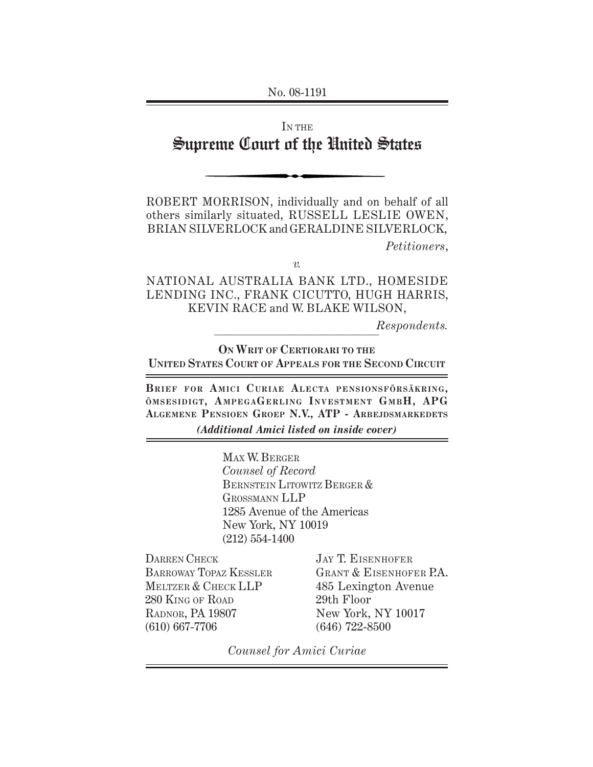No. 08-1191

# IN THE Supreme Court of the United States

ROBERT MORRISON, individually and on behalf of all others similarly situated, RUSSELL LESLIE OWEN, BRIAN SILVERLOCK and GERALDINE SILVERLOCK, *Petitioners*,

*v.*

NATIONAL AUSTRALIA BANK LTD., HOMESIDE LENDING INC., FRANK CICUTTO, HUGH HARRIS, KEVIN RACE and W. BLAKE WILSON,

> $\overline{1}$ *Respondents.*

**ON WRIT OF CERTIORARI TO THE UNITED STATES COURT OF APPEALS FOR THE SECOND CIRCUIT**

**BRIEF FOR AMICI C URIAE ALECTA PENSIONSFÖRSÄKRING,** ÖMSESIDIGT, AMPEGAGERLING INVESTMENT GMBH, APG **ALGEMENE PENSIOEN GROEP N.V., ATP - ARBEJDSMARKEDETS** *(Additional Amici listed on inside cover)*

> MAX W. BERGER *Counsel of Record* BERNSTEIN LITOWITZ BERGER & GROSSMANN LLP 1285 Avenue of the Americas New York, NY 10019 (212) 554-1400

DARREN CHECK BARROWAY TOPAZ KESSLER MELTZER & CHECK LLP 280 KING OF ROAD RADNOR, PA 19807 (610) 667-7706

JAY T. EISENHOFER GRANT & EISENHOFER P.A. 485 Lexington Avenue 29th Floor New York, NY 10017 (646) 722-8500

*Counsel for Amici Curiae*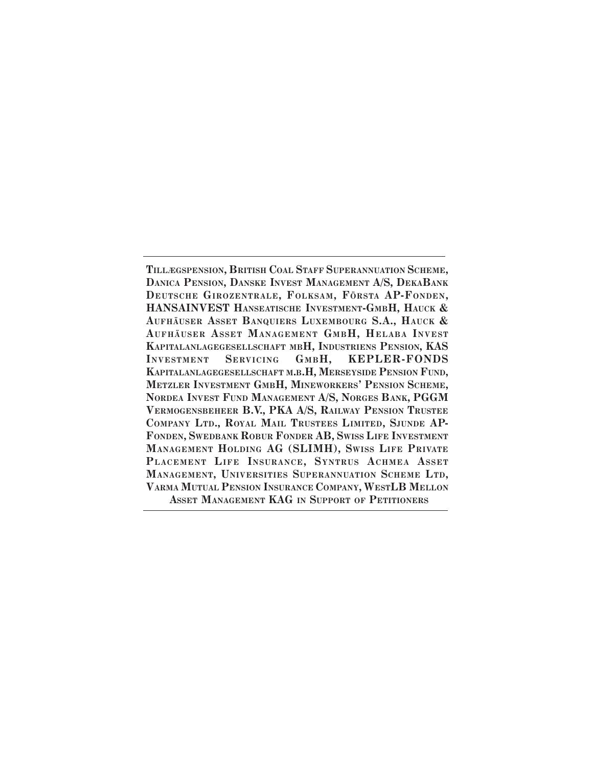**TILLÆGSPENSION, BRITISH COAL STAFF SUPERANNUATION SCHEME, DANICA PENSION, DANSKE INVEST MANAGEMENT A/S, DEKABANK DEUTSCHE GIROZENTRALE, FOLKSAM, FÖRSTA AP-FONDEN, HANSAINVEST HANSEATISCHE INVESTMENT-GMBH, HAUCK & AUFHÄUSER ASSET BANQUIERS LUXEMBOURG S.A., HAUCK &** AUFHÄUSER ASSET MANAGEMENT GMBH, HELABA INVEST **KAPITALANLAGEGESELLSCHAFT MBH, INDUSTRIENS PENSION, KAS** INVESTMENT SERVICING GMBH, KEPLER-FONDS **KAPITALANLAGEGESELLSCHAFT M.B.H, MERSEYSIDE PENSION FUND, METZLER INVESTMENT GMBH, MINEWORKERS' PENSION SCHEME, NORDEA INVEST FUND MANAGEMENT A/S, NORGES BANK, PGGM VERMOGENSBEHEER B.V., PKA A/S, RAILWAY PENSION TRUSTEE COMPANY LTD., ROYAL MAIL TRUSTEES LIMITED, SJUNDE AP-FONDEN, SWEDBANK ROBUR FONDER AB, SWISS LIFE INVESTMENT MANAGEMENT HOLDING AG (SLIMH), SWISS LIFE PRIVATE PLACEMENT LIFE INSURANCE, SYNTRUS ACHMEA ASSET MANAGEMENT, UNIVERSITIES SUPERANNUATION SCHEME LTD, VARMA MUTUAL PENSION INSURANCE COMPANY, WESTLB MELLON ASSET MANAGEMENT KAG IN SUPPORT OF PETITIONERS**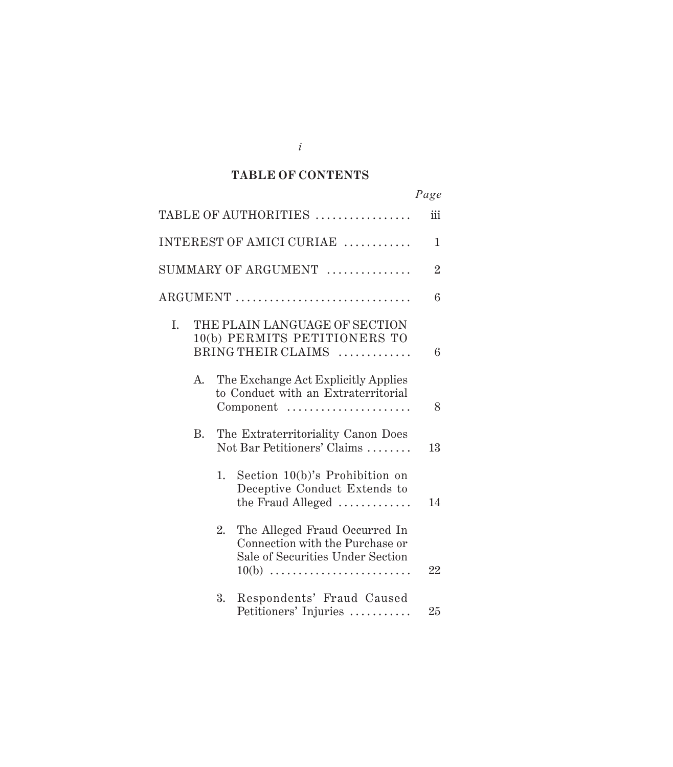#### $\mathbf{TABLE}$  OF CONTENTS

| Page           |                                                                                                                 |    |  |
|----------------|-----------------------------------------------------------------------------------------------------------------|----|--|
| iii            | TABLE OF AUTHORITIES                                                                                            |    |  |
| 1              | INTEREST OF AMICI CURIAE                                                                                        |    |  |
| $\overline{2}$ | SUMMARY OF ARGUMENT                                                                                             |    |  |
| 6              | ARGUMENT                                                                                                        |    |  |
| 6              | THE PLAIN LANGUAGE OF SECTION<br>10(b) PERMITS PETITIONERS TO<br>BRING THEIR CLAIMS                             | I. |  |
| 8              | The Exchange Act Explicitly Applies<br>to Conduct with an Extraterritorial<br>Component                         | А. |  |
| 13             | The Extraterritoriality Canon Does<br>Not Bar Petitioners' Claims                                               | B. |  |
| 14             | Section $10(b)$ 's Prohibition on<br>1.<br>Deceptive Conduct Extends to<br>the Fraud Alleged                    |    |  |
| 22             | The Alleged Fraud Occurred In<br>Connection with the Purchase or<br>Sale of Securities Under Section<br>$10(b)$ |    |  |
| 25             | Respondents' Fraud Caused<br>Petitioners' Injuries                                                              |    |  |

*i*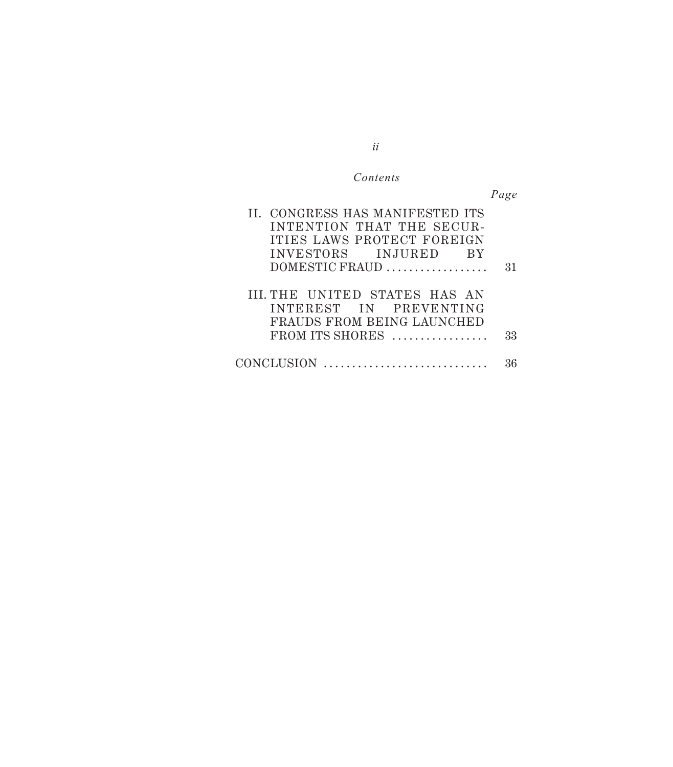### $Contents$

*Page*

| II. CONGRESS HAS MANIFESTED ITS      |    |
|--------------------------------------|----|
| INTENTION THAT THE SECUR-            |    |
| ITIES LAWS PROTECT FOREIGN           |    |
| INVESTORS INJURED BY                 |    |
| DOMESTIC FRAUD                       | 31 |
|                                      |    |
| <b>III. THE UNITED STATES HAS AN</b> |    |
| INTEREST IN PREVENTING               |    |
| FRAUDS FROM BEING LAUNCHED           |    |
| FROM ITS SHORES                      | 33 |
|                                      |    |
| CONCLUSION                           |    |
|                                      |    |

*ii*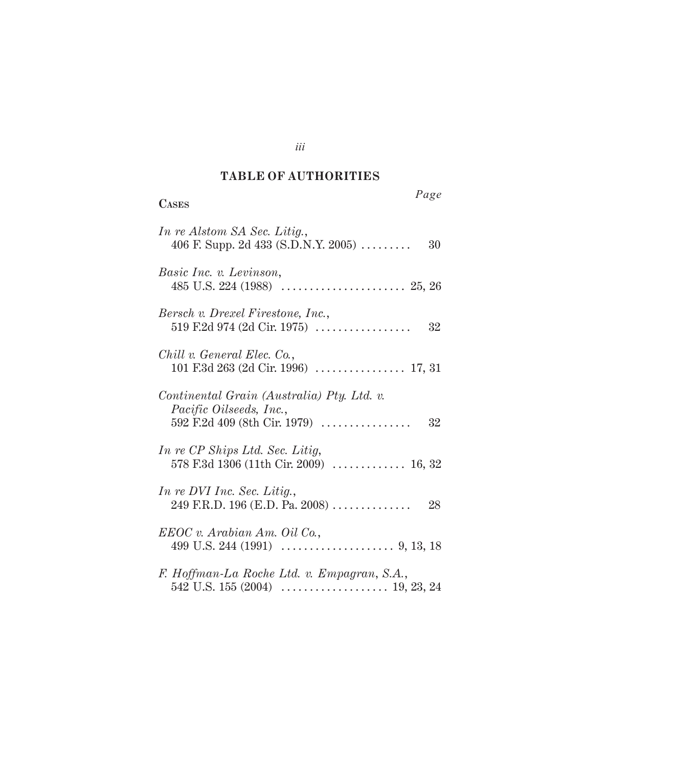#### *Authorities* **TABLE OF AUTHORITIES**

| Page<br><b>CASES</b>                                                            |
|---------------------------------------------------------------------------------|
| In re Alstom SA Sec. Litig.,<br>406 F. Supp. 2d 433 (S.D.N.Y. 2005)<br>30       |
| Basic Inc. v. Levinson,                                                         |
| Bersch v. Drexel Firestone, Inc.,<br>519 F.2d 974 (2d Cir. 1975) $\ldots$<br>32 |
| Chill v. General Elec. Co.,                                                     |
| Continental Grain (Australia) Pty. Ltd. v.<br><i>Pacific Oilseeds, Inc.,</i>    |
| In re CP Ships Ltd. Sec. Litig,<br>578 F.3d 1306 (11th Cir. 2009)  16, 32       |
| In re DVI Inc. Sec. Litig.,                                                     |
| EEOC v. Arabian Am. Oil Co.,                                                    |
| F. Hoffman-La Roche Ltd. v. Empagran, S.A.,                                     |

*iii*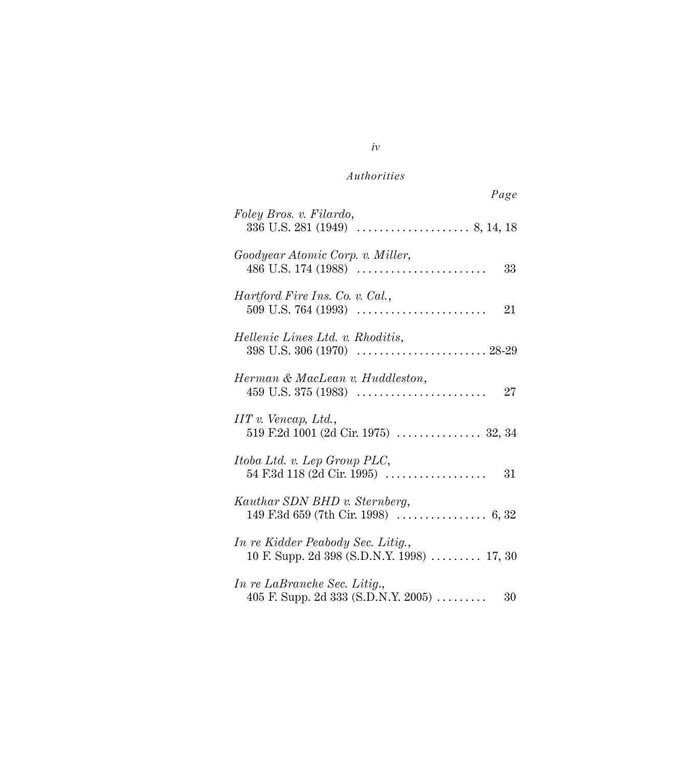| Page                                                                            |
|---------------------------------------------------------------------------------|
| Foley Bros. v. Filardo,                                                         |
| Goodyear Atomic Corp. v. Miller,<br>33                                          |
| Hartford Fire Ins. Co. v. Cal.,<br>21                                           |
| Hellenic Lines Ltd. v. Rhoditis,                                                |
| Herman & MacLean v. Huddleston,<br>27                                           |
| $IIT$ v. Vencap, Ltd.,<br>519 F.2d 1001 (2d Cir. 1975)  32, 34                  |
| Itoba Ltd. v. Lep Group PLC,<br>54 F.3d 118 (2d Cir. 1995)<br>31                |
| Kauthar SDN BHD v. Sternberg,                                                   |
| In re Kidder Peabody Sec. Litig.,<br>10 F. Supp. 2d 398 (S.D.N.Y. 1998)  17, 30 |
| In re LaBranche Sec. Litig.,<br>405 F. Supp. 2d 333 (S.D.N.Y. 2005)<br>30       |

*iv*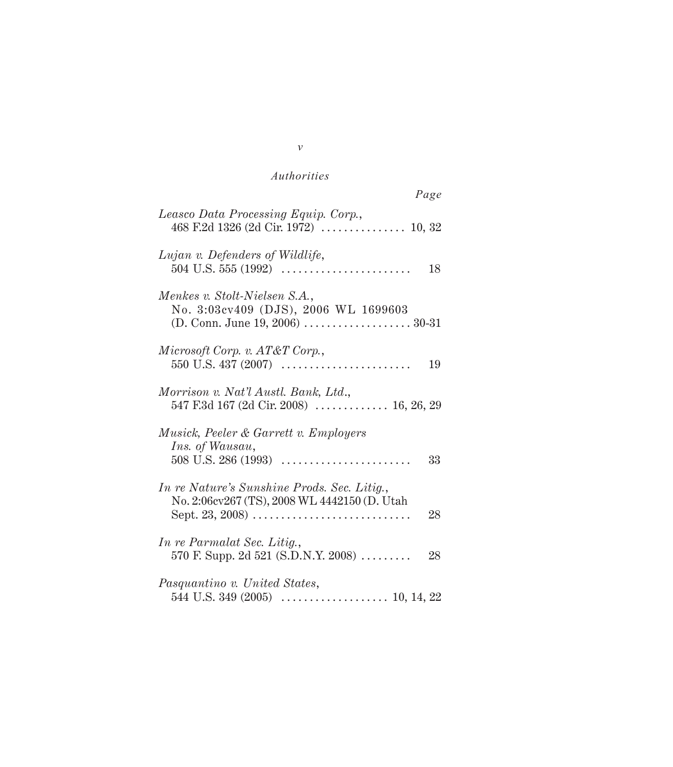| Page                                                                                              |
|---------------------------------------------------------------------------------------------------|
| Leasco Data Processing Equip. Corp.,                                                              |
| Lujan v. Defenders of Wildlife,<br>$504$ U.S. $555$ (1992)<br>18                                  |
| Menkes v. Stolt-Nielsen S.A.,<br>No. 3:03cv409 (DJS), 2006 WL 1699603                             |
| Microsoft Corp. v. AT&T Corp.,<br>19                                                              |
| Morrison v. Nat'l Austl. Bank, Ltd.,<br>547 F.3d 167 (2d Cir. 2008)  16, 26, 29                   |
| Musick, Peeler & Garrett v. Employers<br>Ins. of Wausau,<br>33                                    |
| In re Nature's Sunshine Prods. Sec. Litig.,<br>No. 2:06cv267 (TS), 2008 WL 4442150 (D. Utah<br>28 |
| <i>In re Parmalat Sec. Litig.</i> ,<br>570 F. Supp. 2d 521 (S.D.N.Y. 2008)<br>28                  |
| Pasquantino v. United States,                                                                     |

#### *v*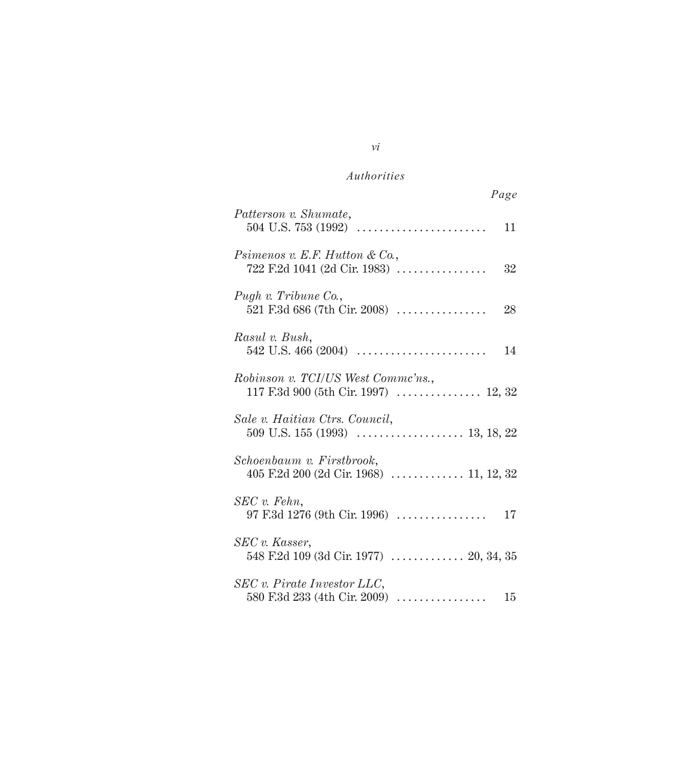|                                                                            | Page |
|----------------------------------------------------------------------------|------|
| Patterson v. Shumate,                                                      | 11   |
| Psimenos v. E.F. Hutton & Co.,<br>722 F.2d 1041 (2d Cir. 1983)             | 32   |
| Pugh v. Tribune Co.,<br>521 F.3d 686 (7th Cir. 2008)                       | 28   |
| Rasul v. Bush,                                                             |      |
| Robinson v. TCI/US West Commc'ns.,<br>117 F.3d 900 (5th Cir. 1997)  12, 32 |      |
| Sale v. Haitian Ctrs. Council,                                             |      |
| Schoenbaum v. Firstbrook,                                                  |      |
| SEC v. Fehn,<br>97 F.3d 1276 (9th Cir. 1996)                               | 17   |
| SEC v. Kasser,<br>548 F.2d 109 (3d Cir. 1977)  20, 34, 35                  |      |
| SEC v. Pirate Investor LLC,<br>580 F.3d 233 (4th Cir. 2009) $\ldots$       | 15   |

*vi*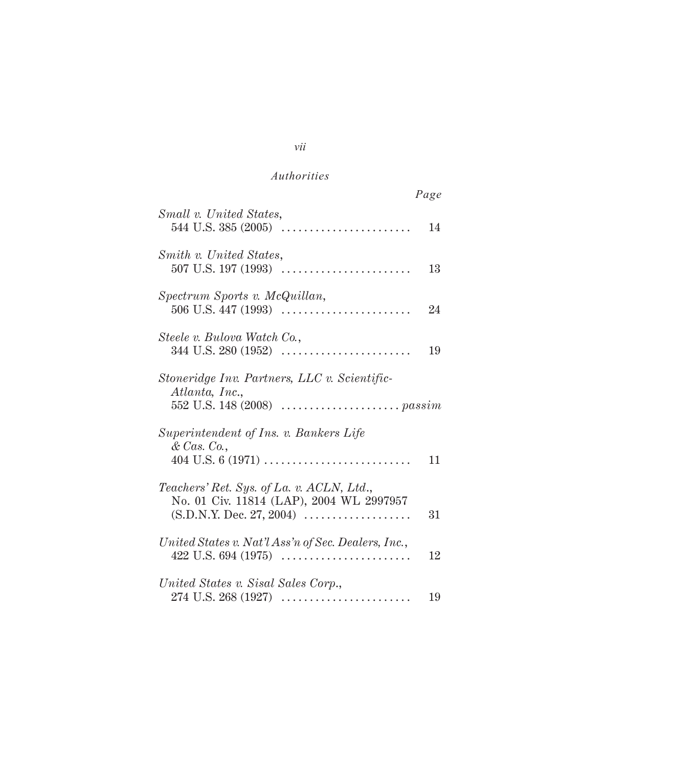|                                                                                                                                                        | Page |
|--------------------------------------------------------------------------------------------------------------------------------------------------------|------|
| Small v. United States,<br>544 U.S. 385 $(2005)$                                                                                                       | 14   |
| Smith v. United States,<br>507 U.S. 197 (1993) $\dots\dots\dots\dots\dots\dots\dots\dots\dots\dots\dots$                                               | 13   |
| Spectrum Sports v. McQuillan,                                                                                                                          | 24   |
| Steele v. Bulova Watch Co.,                                                                                                                            | 19   |
| Stoneridge Inv. Partners, LLC v. Scientific-<br>Atlanta, Inc.,                                                                                         |      |
| Superintendent of Ins. v. Bankers Life<br>& Cas. Co.                                                                                                   | 11   |
| Teachers' Ret. Sys. of La. v. ACLN, Ltd.,<br>No. 01 Civ. 11814 (LAP), 2004 WL 2997957<br>$(S.D.N.Y. Dec. 27, 2004) \ldots \ldots \ldots \ldots \ldots$ | 31   |
| United States v. Nat'l Ass'n of Sec. Dealers, Inc.,<br>$422$ U.S. 694 (1975)                                                                           | 12   |
| United States v. Sisal Sales Corp.,                                                                                                                    | 19   |

### *vii*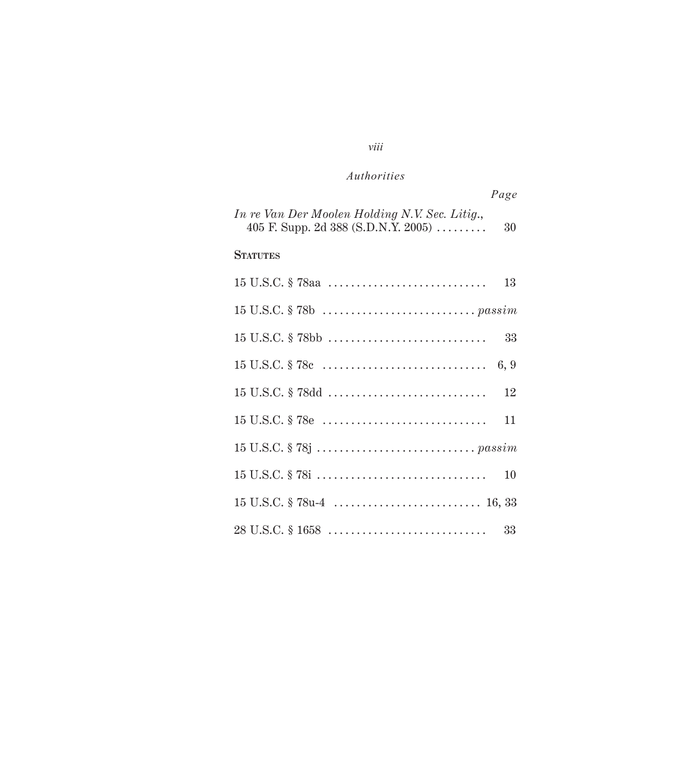## *viii*

## *Authorities*

| Page                                                                                        |
|---------------------------------------------------------------------------------------------|
| In re Van Der Moolen Holding N.V. Sec. Litig.,<br>405 F. Supp. 2d 388 (S.D.N.Y. 2005)<br>30 |
| <b>STATUTES</b>                                                                             |
| 13                                                                                          |
|                                                                                             |
| 33                                                                                          |
| 6, 9                                                                                        |
| 15 U.S.C. § 78dd<br>12                                                                      |
| 11                                                                                          |
|                                                                                             |
| 10                                                                                          |
|                                                                                             |
| 33                                                                                          |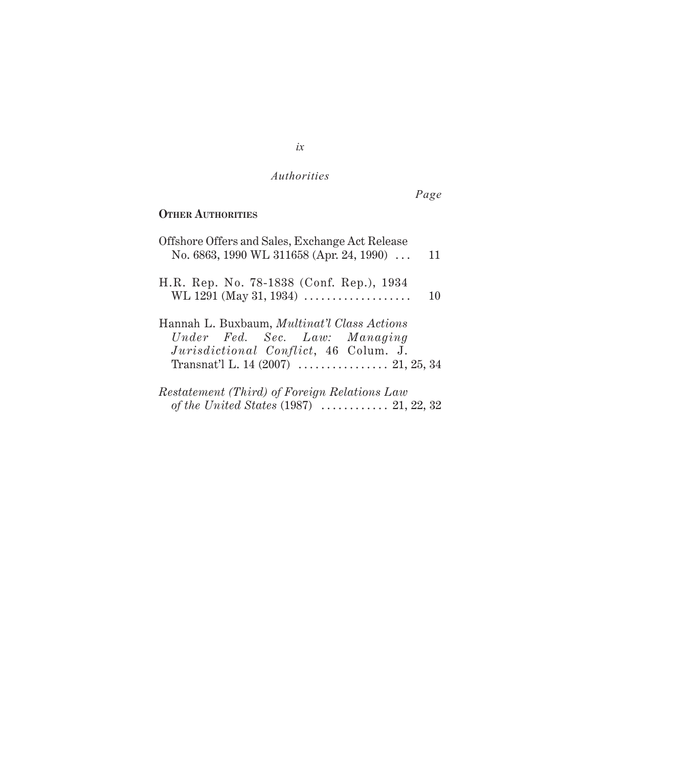*Page*

## **OTHER AUTHORITIES**

| Offshore Offers and Sales, Exchange Act Release<br>No. 6863, 1990 WL 311658 (Apr. 24, 1990)                                  | 11 |
|------------------------------------------------------------------------------------------------------------------------------|----|
| H.R. Rep. No. 78-1838 (Conf. Rep.), 1934<br>WL 1291 (May 31, 1934) $\ldots$                                                  | 10 |
| Hannah L. Buxbaum, <i>Multinat'l Class Actions</i><br>Under Fed. Sec. Law: Managing<br>Jurisdictional Conflict, 46 Colum. J. |    |
| <i>Restatement (Third) of Foreign Relations Law</i><br>of the United States $(1987)$ 21, 22, 32                              |    |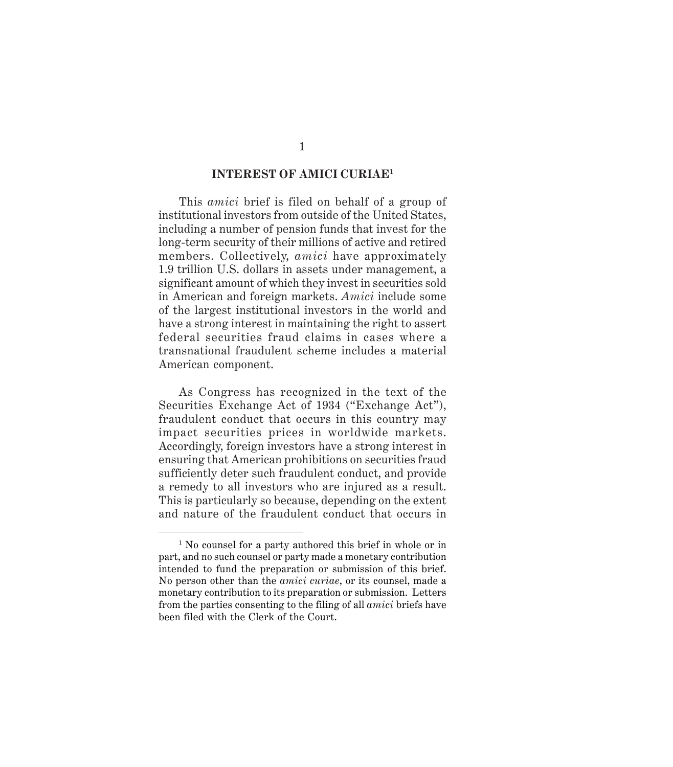#### **INTEREST OF AMICI CURIAE1**

This *amici* brief is filed on behalf of a group of institutional investors from outside of the United States, including a number of pension funds that invest for the long-term security of their millions of active and retired members. Collectively, *amici* have approximately 1.9 trillion U.S. dollars in assets under management, a significant amount of which they invest in securities sold in American and foreign markets. *Amici* include some of the largest institutional investors in the world and have a strong interest in maintaining the right to assert federal securities fraud claims in cases where a transnational fraudulent scheme includes a material American component.

As Congress has recognized in the text of the Securities Exchange Act of 1934 ("Exchange Act"), fraudulent conduct that occurs in this country may impact securities prices in worldwide markets. Accordingly, foreign investors have a strong interest in ensuring that American prohibitions on securities fraud sufficiently deter such fraudulent conduct, and provide a remedy to all investors who are injured as a result. This is particularly so because, depending on the extent and nature of the fraudulent conduct that occurs in

<sup>&</sup>lt;sup>1</sup> No counsel for a party authored this brief in whole or in part, and no such counsel or party made a monetary contribution intended to fund the preparation or submission of this brief. No person other than the *amici curiae*, or its counsel, made a monetary contribution to its preparation or submission. Letters from the parties consenting to the filing of all *amici* briefs have been filed with the Clerk of the Court.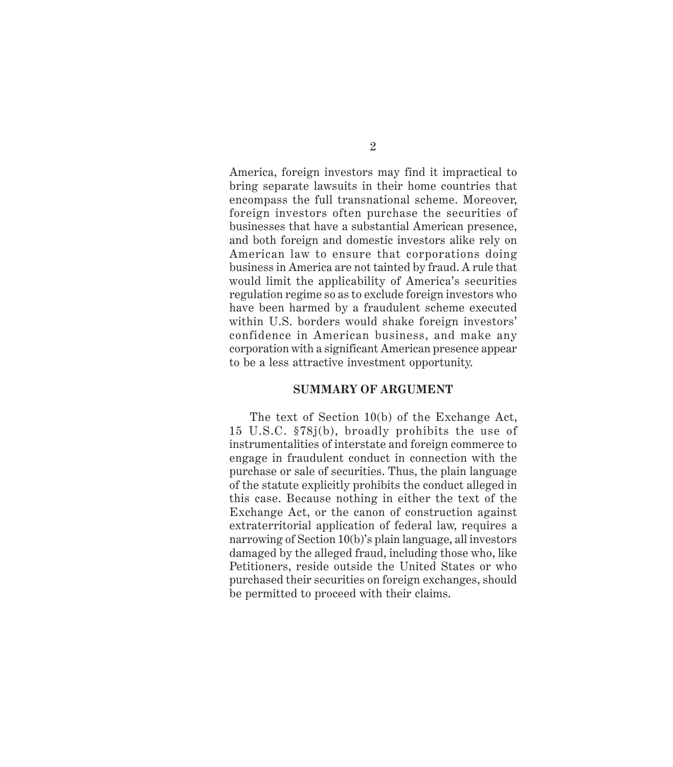America, foreign investors may find it impractical to bring separate lawsuits in their home countries that encompass the full transnational scheme. Moreover, foreign investors often purchase the securities of businesses that have a substantial American presence, and both foreign and domestic investors alike rely on American law to ensure that corporations doing business in America are not tainted by fraud. A rule that would limit the applicability of America's securities regulation regime so as to exclude foreign investors who have been harmed by a fraudulent scheme executed within U.S. borders would shake foreign investors' confidence in American business, and make any corporation with a significant American presence appear to be a less attractive investment opportunity.

#### **SUMMARY OF ARGUMENT**

The text of Section 10(b) of the Exchange Act, 15 U.S.C. §78j(b), broadly prohibits the use of instrumentalities of interstate and foreign commerce to engage in fraudulent conduct in connection with the purchase or sale of securities. Thus, the plain language of the statute explicitly prohibits the conduct alleged in this case. Because nothing in either the text of the Exchange Act, or the canon of construction against extraterritorial application of federal law, requires a narrowing of Section 10(b)'s plain language, all investors damaged by the alleged fraud, including those who, like Petitioners, reside outside the United States or who purchased their securities on foreign exchanges, should be permitted to proceed with their claims.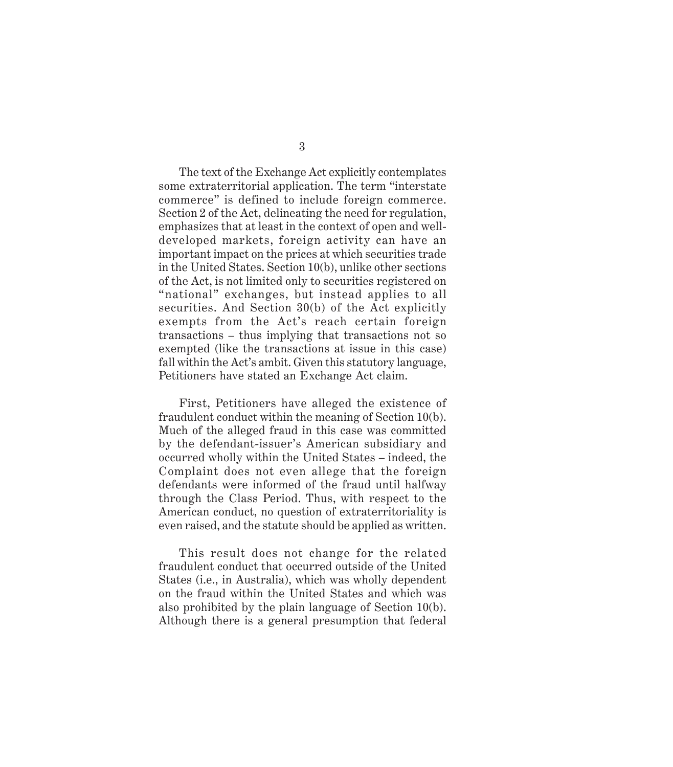3

The text of the Exchange Act explicitly contemplates some extraterritorial application. The term "interstate commerce" is defined to include foreign commerce. Section 2 of the Act, delineating the need for regulation, emphasizes that at least in the context of open and welldeveloped markets, foreign activity can have an important impact on the prices at which securities trade in the United States. Section 10(b), unlike other sections of the Act, is not limited only to securities registered on "national" exchanges, but instead applies to all securities. And Section 30(b) of the Act explicitly exempts from the Act's reach certain foreign transactions – thus implying that transactions not so exempted (like the transactions at issue in this case) fall within the Act's ambit. Given this statutory language, Petitioners have stated an Exchange Act claim.

First, Petitioners have alleged the existence of fraudulent conduct within the meaning of Section 10(b). Much of the alleged fraud in this case was committed by the defendant-issuer's American subsidiary and occurred wholly within the United States – indeed, the Complaint does not even allege that the foreign defendants were informed of the fraud until halfway through the Class Period. Thus, with respect to the American conduct, no question of extraterritoriality is even raised, and the statute should be applied as written.

This result does not change for the related fraudulent conduct that occurred outside of the United States (i.e., in Australia), which was wholly dependent on the fraud within the United States and which was also prohibited by the plain language of Section 10(b). Although there is a general presumption that federal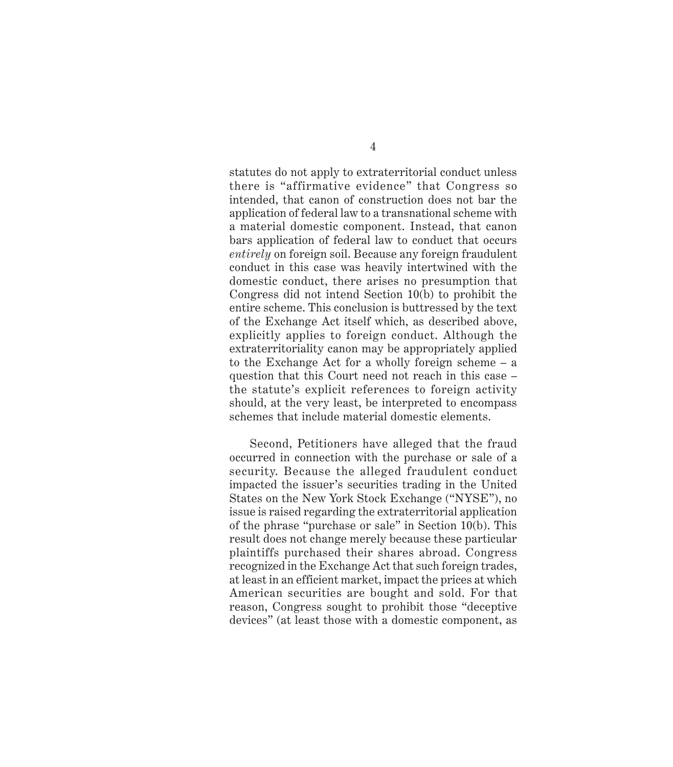statutes do not apply to extraterritorial conduct unless there is "affirmative evidence" that Congress so intended, that canon of construction does not bar the application of federal law to a transnational scheme with a material domestic component. Instead, that canon bars application of federal law to conduct that occurs *entirely* on foreign soil. Because any foreign fraudulent conduct in this case was heavily intertwined with the domestic conduct, there arises no presumption that Congress did not intend Section 10(b) to prohibit the entire scheme. This conclusion is buttressed by the text of the Exchange Act itself which, as described above, explicitly applies to foreign conduct. Although the extraterritoriality canon may be appropriately applied to the Exchange Act for a wholly foreign scheme – a question that this Court need not reach in this case – the statute's explicit references to foreign activity should, at the very least, be interpreted to encompass schemes that include material domestic elements.

Second, Petitioners have alleged that the fraud occurred in connection with the purchase or sale of a security. Because the alleged fraudulent conduct impacted the issuer's securities trading in the United States on the New York Stock Exchange ("NYSE"), no issue is raised regarding the extraterritorial application of the phrase "purchase or sale" in Section 10(b). This result does not change merely because these particular plaintiffs purchased their shares abroad. Congress recognized in the Exchange Act that such foreign trades, at least in an efficient market, impact the prices at which American securities are bought and sold. For that reason, Congress sought to prohibit those "deceptive devices" (at least those with a domestic component, as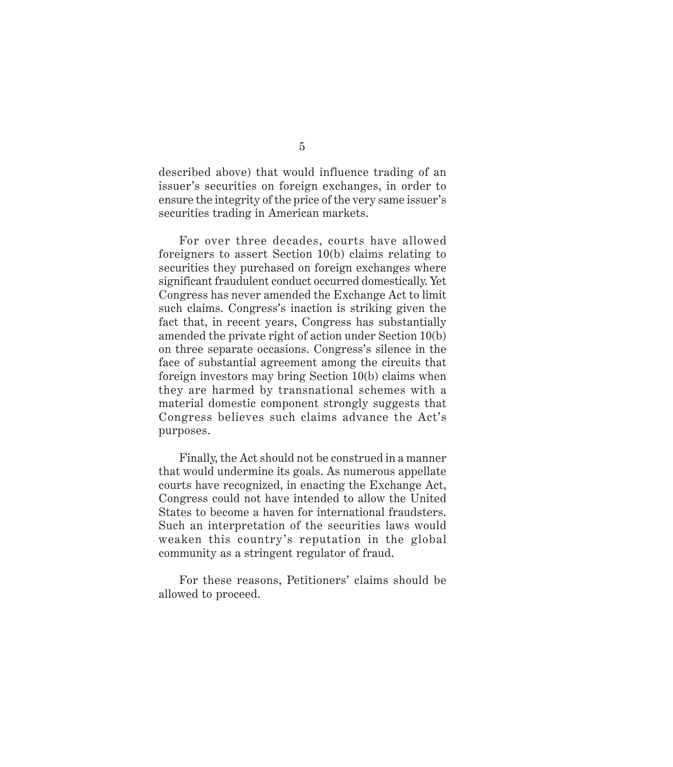described above) that would influence trading of an issuer's securities on foreign exchanges, in order to ensure the integrity of the price of the very same issuer's securities trading in American markets.

For over three decades, courts have allowed foreigners to assert Section 10(b) claims relating to securities they purchased on foreign exchanges where significant fraudulent conduct occurred domestically. Yet Congress has never amended the Exchange Act to limit such claims. Congress's inaction is striking given the fact that, in recent years, Congress has substantially amended the private right of action under Section 10(b) on three separate occasions. Congress's silence in the face of substantial agreement among the circuits that foreign investors may bring Section 10(b) claims when they are harmed by transnational schemes with a material domestic component strongly suggests that Congress believes such claims advance the Act's purposes.

Finally, the Act should not be construed in a manner that would undermine its goals. As numerous appellate courts have recognized, in enacting the Exchange Act, Congress could not have intended to allow the United States to become a haven for international fraudsters. Such an interpretation of the securities laws would weaken this country's reputation in the global community as a stringent regulator of fraud.

For these reasons, Petitioners' claims should be allowed to proceed.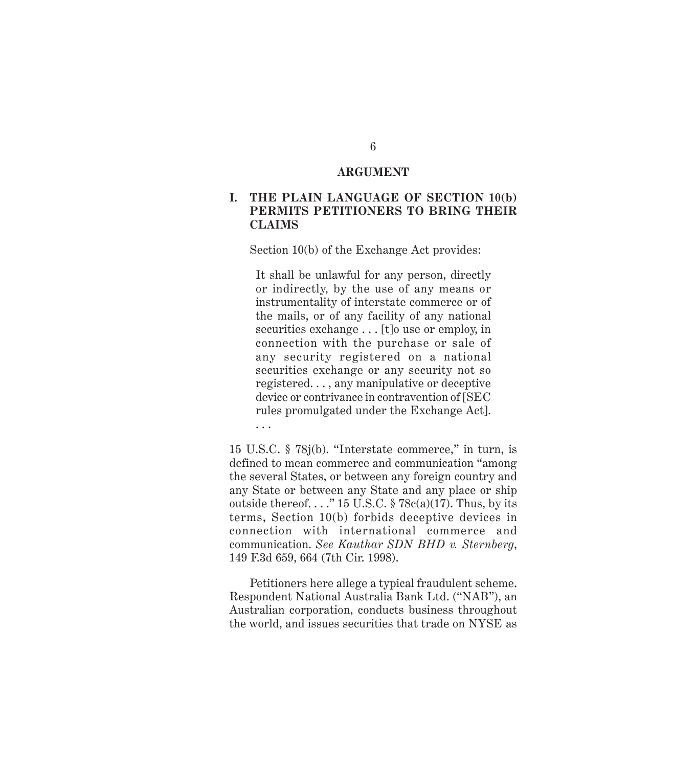#### **ARGUMENT**

### **I. THE PLAIN LANGUAGE OF SECTION 10(b) PERMITS PETITIONERS TO BRING THEIR CLAIMS**

Section 10(b) of the Exchange Act provides:

It shall be unlawful for any person, directly or indirectly, by the use of any means or instrumentality of interstate commerce or of the mails, or of any facility of any national securities exchange . . . [t]o use or employ, in connection with the purchase or sale of any security registered on a national securities exchange or any security not so registered. . . , any manipulative or deceptive device or contrivance in contravention of [SEC rules promulgated under the Exchange Act]. . . .

15 U.S.C. § 78j(b). "Interstate commerce," in turn, is defined to mean commerce and communication "among the several States, or between any foreign country and any State or between any State and any place or ship outside thereof...." 15 U.S.C.  $\S$  78c(a)(17). Thus, by its terms, Section 10(b) forbids deceptive devices in connection with international commerce and communication. *See Kauthar SDN BHD v. Sternberg*, 149 F.3d 659, 664 (7th Cir. 1998).

Petitioners here allege a typical fraudulent scheme. Respondent National Australia Bank Ltd. ("NAB"), an Australian corporation, conducts business throughout the world, and issues securities that trade on NYSE as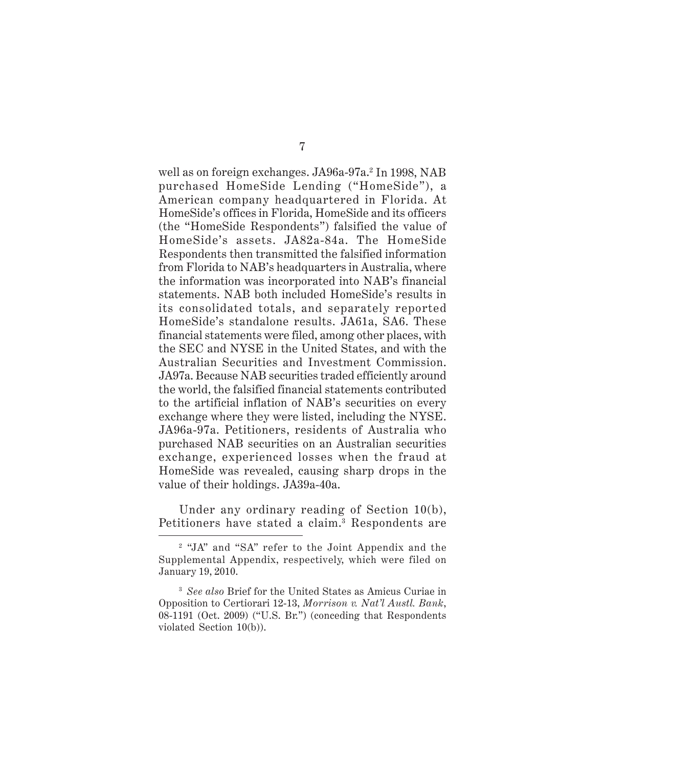well as on foreign exchanges. JA96a-97a.<sup>2</sup> In 1998, NAB purchased HomeSide Lending ("HomeSide"), a American company headquartered in Florida. At HomeSide's offices in Florida, HomeSide and its officers (the "HomeSide Respondents") falsified the value of HomeSide's assets. JA82a-84a. The HomeSide Respondents then transmitted the falsified information from Florida to NAB's headquarters in Australia, where the information was incorporated into NAB's financial statements. NAB both included HomeSide's results in its consolidated totals, and separately reported HomeSide's standalone results. JA61a, SA6. These financial statements were filed, among other places, with the SEC and NYSE in the United States, and with the Australian Securities and Investment Commission. JA97a. Because NAB securities traded efficiently around the world, the falsified financial statements contributed to the artificial inflation of NAB's securities on every exchange where they were listed, including the NYSE. JA96a-97a. Petitioners, residents of Australia who purchased NAB securities on an Australian securities exchange, experienced losses when the fraud at HomeSide was revealed, causing sharp drops in the value of their holdings. JA39a-40a.

Under any ordinary reading of Section 10(b), Petitioners have stated a claim.3 Respondents are

<sup>2</sup> "JA" and "SA" refer to the Joint Appendix and the Supplemental Appendix, respectively, which were filed on January 19, 2010.

<sup>3</sup> *See also* Brief for the United States as Amicus Curiae in Opposition to Certiorari 12-13, *Morrison v. Nat'l Austl. Bank*, 08-1191 (Oct. 2009) ("U.S. Br.") (conceding that Respondents violated Section 10(b)).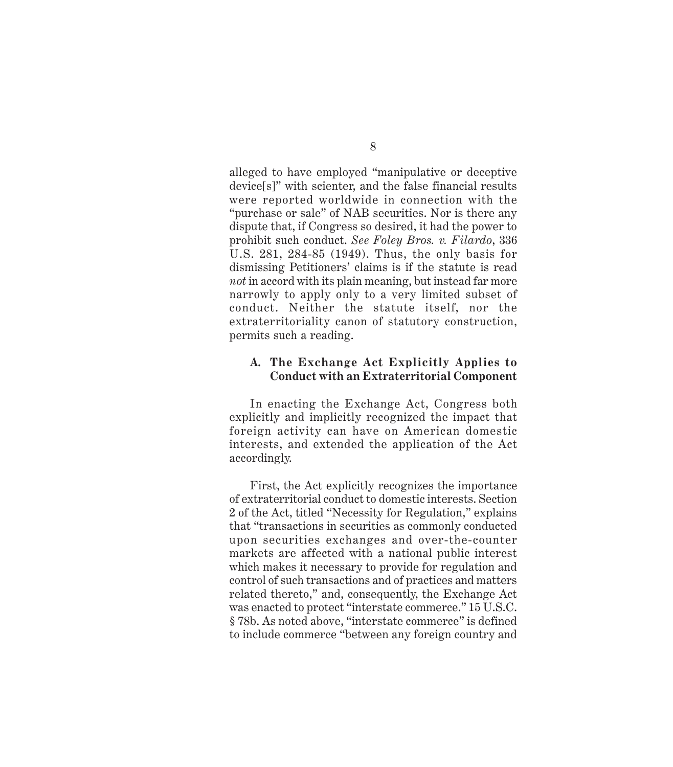alleged to have employed "manipulative or deceptive device[s]" with scienter, and the false financial results were reported worldwide in connection with the "purchase or sale" of NAB securities. Nor is there any dispute that, if Congress so desired, it had the power to prohibit such conduct. *See Foley Bros. v. Filardo*, 336 U.S. 281, 284-85 (1949). Thus, the only basis for dismissing Petitioners' claims is if the statute is read *not* in accord with its plain meaning, but instead far more narrowly to apply only to a very limited subset of conduct. Neither the statute itself, nor the extraterritoriality canon of statutory construction, permits such a reading.

#### **A. The Exchange Act Explicitly Applies to Conduct with an Extraterritorial Component**

In enacting the Exchange Act, Congress both explicitly and implicitly recognized the impact that foreign activity can have on American domestic interests, and extended the application of the Act accordingly.

First, the Act explicitly recognizes the importance of extraterritorial conduct to domestic interests. Section 2 of the Act, titled "Necessity for Regulation," explains that "transactions in securities as commonly conducted upon securities exchanges and over-the-counter markets are affected with a national public interest which makes it necessary to provide for regulation and control of such transactions and of practices and matters related thereto," and, consequently, the Exchange Act was enacted to protect "interstate commerce." 15 U.S.C. § 78b. As noted above, "interstate commerce" is defined to include commerce "between any foreign country and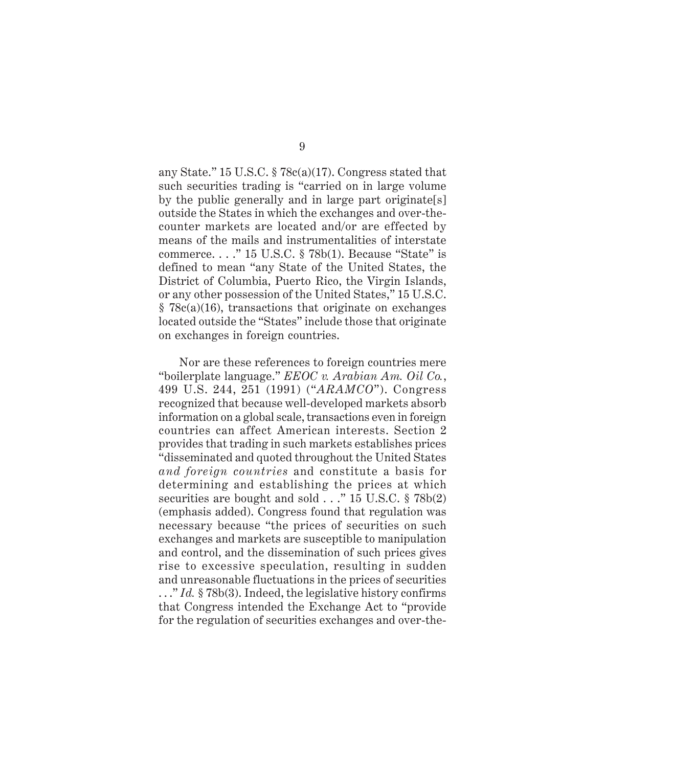any State." 15 U.S.C. § 78c(a)(17). Congress stated that such securities trading is "carried on in large volume by the public generally and in large part originate[s] outside the States in which the exchanges and over-thecounter markets are located and/or are effected by means of the mails and instrumentalities of interstate commerce. . . ." 15 U.S.C. § 78b(1). Because "State" is defined to mean "any State of the United States, the District of Columbia, Puerto Rico, the Virgin Islands, or any other possession of the United States," 15 U.S.C.  $§ 78c(a)(16)$ , transactions that originate on exchanges located outside the "States" include those that originate on exchanges in foreign countries.

Nor are these references to foreign countries mere "boilerplate language." *EEOC v. Arabian Am. Oil Co.*, 499 U.S. 244, 251 (1991) ("*ARAMCO*"). Congress recognized that because well-developed markets absorb information on a global scale, transactions even in foreign countries can affect American interests. Section 2 provides that trading in such markets establishes prices "disseminated and quoted throughout the United States *and foreign countries* and constitute a basis for determining and establishing the prices at which securities are bought and sold . . ." 15 U.S.C. § 78b(2) (emphasis added). Congress found that regulation was necessary because "the prices of securities on such exchanges and markets are susceptible to manipulation and control, and the dissemination of such prices gives rise to excessive speculation, resulting in sudden and unreasonable fluctuations in the prices of securities . . ." *Id.* § 78b(3). Indeed, the legislative history confirms that Congress intended the Exchange Act to "provide for the regulation of securities exchanges and over-the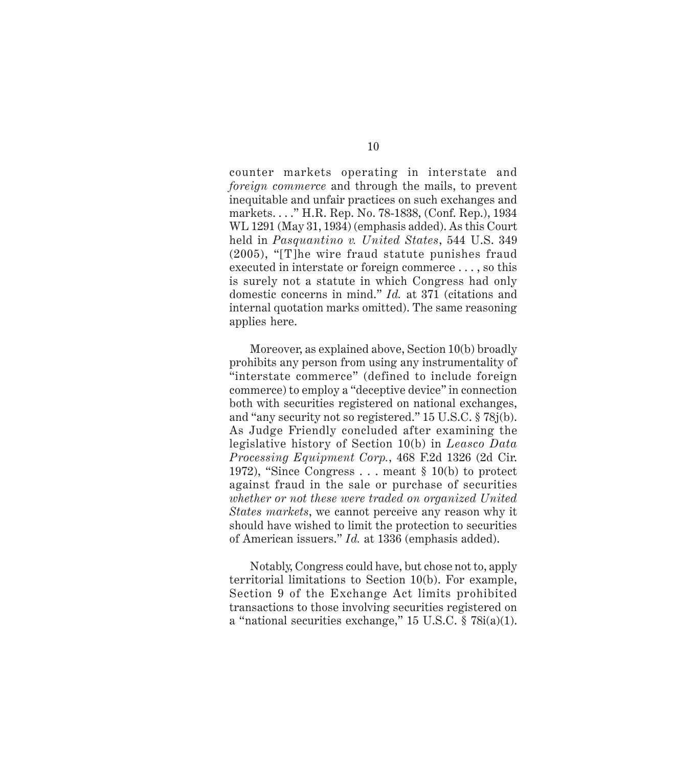counter markets operating in interstate and *foreign commerce* and through the mails, to prevent inequitable and unfair practices on such exchanges and markets. . . ." H.R. Rep. No. 78-1838, (Conf. Rep.), 1934 WL 1291 (May 31, 1934) (emphasis added). As this Court held in *Pasquantino v. United States*, 544 U.S. 349 (2005), "[T]he wire fraud statute punishes fraud executed in interstate or foreign commerce . . . , so this is surely not a statute in which Congress had only domestic concerns in mind." *Id.* at 371 (citations and internal quotation marks omitted). The same reasoning applies here.

Moreover, as explained above, Section 10(b) broadly prohibits any person from using any instrumentality of "interstate commerce" (defined to include foreign commerce) to employ a "deceptive device" in connection both with securities registered on national exchanges, and "any security not so registered." 15 U.S.C. § 78j(b). As Judge Friendly concluded after examining the legislative history of Section 10(b) in *Leasco Data Processing Equipment Corp.*, 468 F.2d 1326 (2d Cir. 1972), "Since Congress . . . meant § 10(b) to protect against fraud in the sale or purchase of securities *whether or not these were traded on organized United States markets*, we cannot perceive any reason why it should have wished to limit the protection to securities of American issuers." *Id.* at 1336 (emphasis added).

Notably, Congress could have, but chose not to, apply territorial limitations to Section 10(b). For example, Section 9 of the Exchange Act limits prohibited transactions to those involving securities registered on a "national securities exchange," 15 U.S.C. § 78i(a)(1).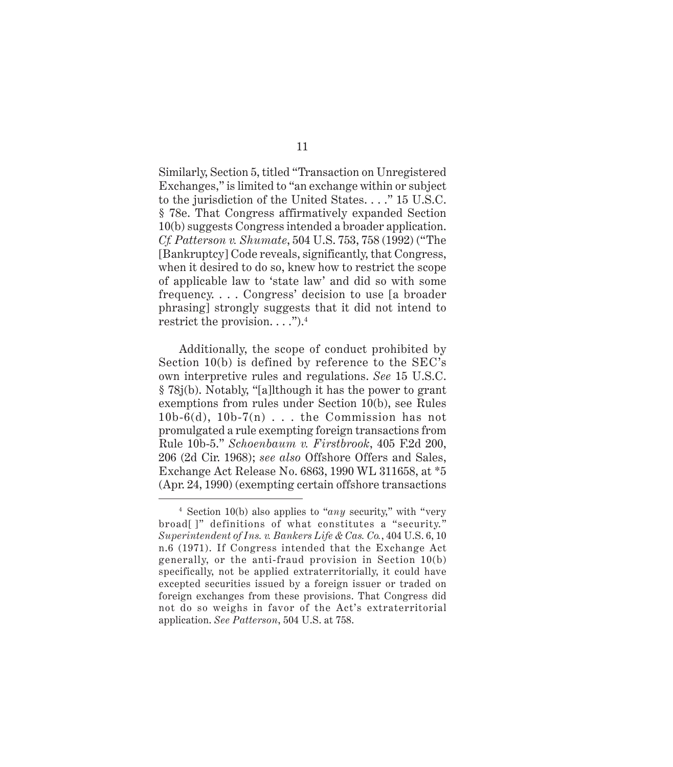Similarly, Section 5, titled "Transaction on Unregistered Exchanges," is limited to "an exchange within or subject to the jurisdiction of the United States. . . ." 15 U.S.C. § 78e. That Congress affirmatively expanded Section 10(b) suggests Congress intended a broader application. *Cf. Patterson v. Shumate*, 504 U.S. 753, 758 (1992) ("The [Bankruptcy] Code reveals, significantly, that Congress, when it desired to do so, knew how to restrict the scope of applicable law to 'state law' and did so with some frequency. . . . Congress' decision to use [a broader phrasing] strongly suggests that it did not intend to restrict the provision.  $\dots$ ").<sup>4</sup>

Additionally, the scope of conduct prohibited by Section 10(b) is defined by reference to the SEC's own interpretive rules and regulations. *See* 15 U.S.C. § 78j(b). Notably, "[a]lthough it has the power to grant exemptions from rules under Section 10(b), see Rules  $10b-6(d)$ ,  $10b-7(n)$ ... the Commission has not promulgated a rule exempting foreign transactions from Rule 10b-5." *Schoenbaum v. Firstbrook*, 405 F.2d 200, 206 (2d Cir. 1968); *see also* Offshore Offers and Sales, Exchange Act Release No. 6863, 1990 WL 311658, at \*5 (Apr. 24, 1990) (exempting certain offshore transactions

<sup>4</sup> Section 10(b) also applies to "*any* security," with "very broad[]" definitions of what constitutes a "security." *Superintendent of Ins. v. Bankers Life & Cas. Co.*, 404 U.S. 6, 10 n.6 (1971). If Congress intended that the Exchange Act generally, or the anti-fraud provision in Section 10(b) specifically, not be applied extraterritorially, it could have excepted securities issued by a foreign issuer or traded on foreign exchanges from these provisions. That Congress did not do so weighs in favor of the Act's extraterritorial application. *See Patterson*, 504 U.S. at 758.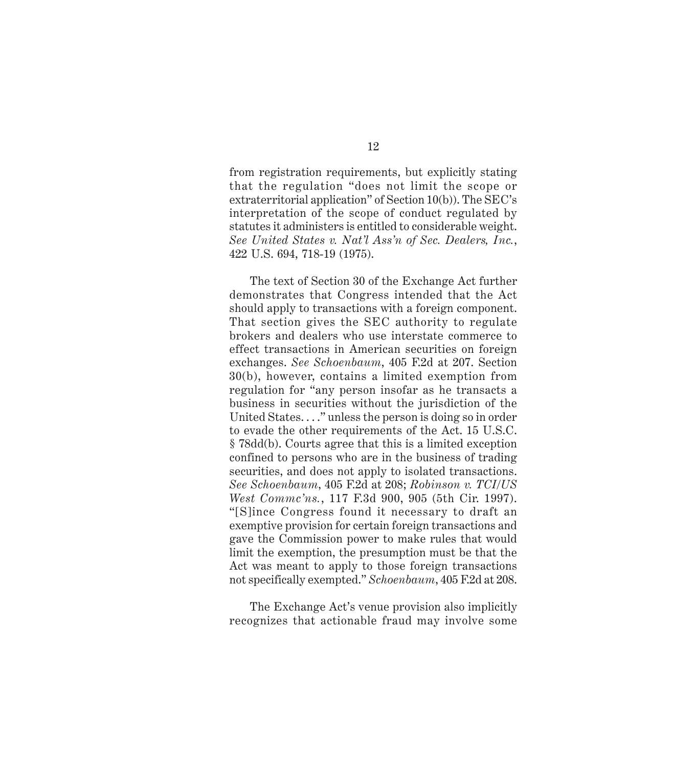from registration requirements, but explicitly stating that the regulation "does not limit the scope or extraterritorial application" of Section 10(b)). The SEC's interpretation of the scope of conduct regulated by statutes it administers is entitled to considerable weight. *See United States v. Nat'l Ass'n of Sec. Dealers, Inc.*, 422 U.S. 694, 718-19 (1975).

The text of Section 30 of the Exchange Act further demonstrates that Congress intended that the Act should apply to transactions with a foreign component. That section gives the SEC authority to regulate brokers and dealers who use interstate commerce to effect transactions in American securities on foreign exchanges. *See Schoenbaum*, 405 F.2d at 207. Section 30(b), however, contains a limited exemption from regulation for "any person insofar as he transacts a business in securities without the jurisdiction of the United States. . . ." unless the person is doing so in order to evade the other requirements of the Act. 15 U.S.C. § 78dd(b). Courts agree that this is a limited exception confined to persons who are in the business of trading securities, and does not apply to isolated transactions. *See Schoenbaum*, 405 F.2d at 208; *Robinson v. TCI/US West Commc'ns.*, 117 F.3d 900, 905 (5th Cir. 1997). "[S]ince Congress found it necessary to draft an exemptive provision for certain foreign transactions and gave the Commission power to make rules that would limit the exemption, the presumption must be that the Act was meant to apply to those foreign transactions not specifically exempted." *Schoenbaum*, 405 F.2d at 208.

The Exchange Act's venue provision also implicitly recognizes that actionable fraud may involve some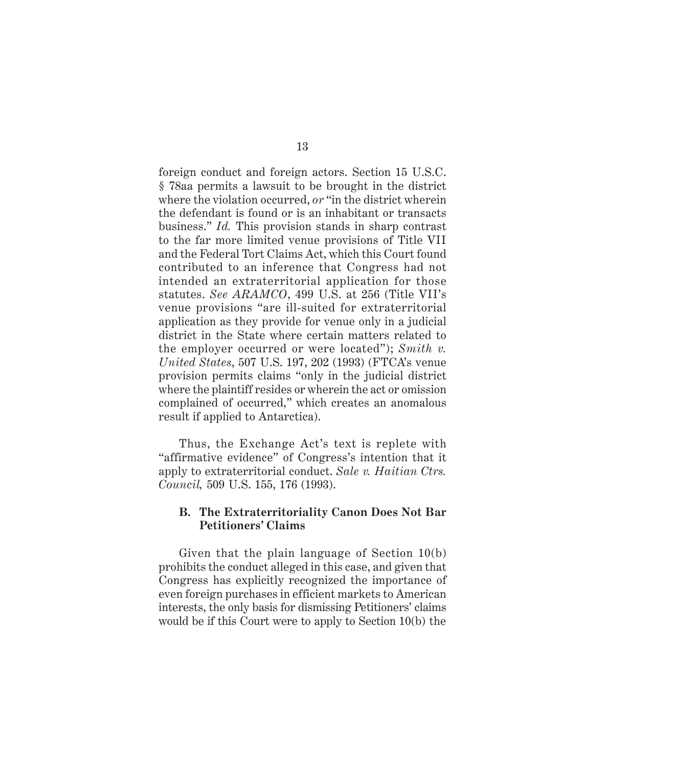foreign conduct and foreign actors. Section 15 U.S.C. § 78aa permits a lawsuit to be brought in the district where the violation occurred, *or* "in the district wherein the defendant is found or is an inhabitant or transacts business." *Id.* This provision stands in sharp contrast to the far more limited venue provisions of Title VII and the Federal Tort Claims Act, which this Court found contributed to an inference that Congress had not intended an extraterritorial application for those statutes. *See ARAMCO*, 499 U.S. at 256 (Title VII's venue provisions "are ill-suited for extraterritorial application as they provide for venue only in a judicial district in the State where certain matters related to the employer occurred or were located"); *Smith v. United States*, 507 U.S. 197, 202 (1993) (FTCA's venue provision permits claims "only in the judicial district where the plaintiff resides or wherein the act or omission complained of occurred," which creates an anomalous result if applied to Antarctica).

Thus, the Exchange Act's text is replete with "affirmative evidence" of Congress's intention that it apply to extraterritorial conduct. *Sale v. Haitian Ctrs. Council,* 509 U.S. 155, 176 (1993).

#### **B. The Extraterritoriality Canon Does Not Bar Petitioners' Claims**

Given that the plain language of Section 10(b) prohibits the conduct alleged in this case, and given that Congress has explicitly recognized the importance of even foreign purchases in efficient markets to American interests, the only basis for dismissing Petitioners' claims would be if this Court were to apply to Section 10(b) the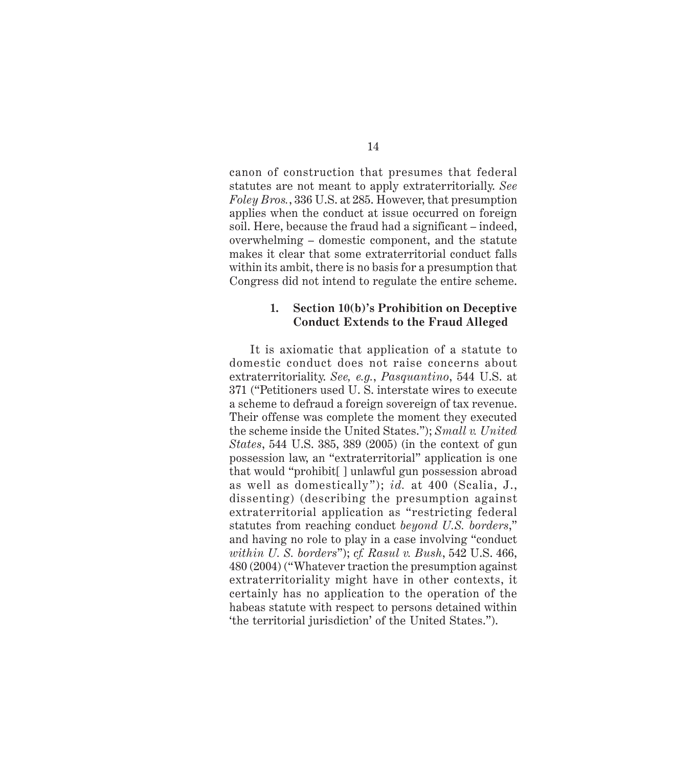canon of construction that presumes that federal statutes are not meant to apply extraterritorially. *See Foley Bros.*, 336 U.S. at 285. However, that presumption applies when the conduct at issue occurred on foreign soil. Here, because the fraud had a significant – indeed, overwhelming – domestic component, and the statute makes it clear that some extraterritorial conduct falls within its ambit, there is no basis for a presumption that Congress did not intend to regulate the entire scheme.

#### **1. Section 10(b)'s Prohibition on Deceptive Conduct Extends to the Fraud Alleged**

It is axiomatic that application of a statute to domestic conduct does not raise concerns about extraterritoriality. *See, e.g.*, *Pasquantino*, 544 U.S. at 371 ("Petitioners used U. S. interstate wires to execute a scheme to defraud a foreign sovereign of tax revenue. Their offense was complete the moment they executed the scheme inside the United States."); *Small v. United States*, 544 U.S. 385, 389 (2005) (in the context of gun possession law, an "extraterritorial" application is one that would "prohibit[ ] unlawful gun possession abroad as well as domestically"); *id.* at 400 (Scalia, J., dissenting) (describing the presumption against extraterritorial application as "restricting federal statutes from reaching conduct *beyond U.S. borders*," and having no role to play in a case involving "conduct *within U. S. borders*"); *cf. Rasul v. Bush*, 542 U.S. 466, 480 (2004) ("Whatever traction the presumption against extraterritoriality might have in other contexts, it certainly has no application to the operation of the habeas statute with respect to persons detained within 'the territorial jurisdiction' of the United States.").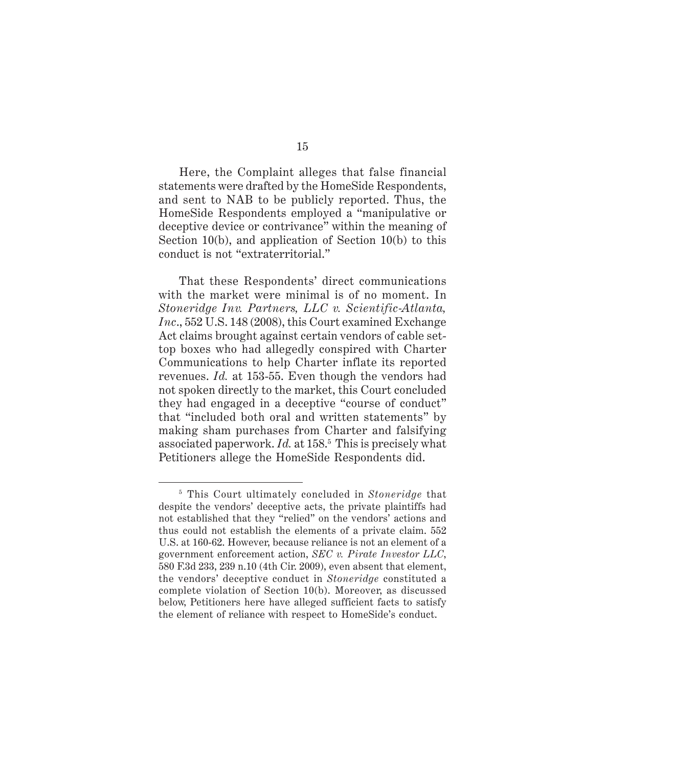Here, the Complaint alleges that false financial statements were drafted by the HomeSide Respondents, and sent to NAB to be publicly reported. Thus, the HomeSide Respondents employed a "manipulative or deceptive device or contrivance" within the meaning of Section 10(b), and application of Section 10(b) to this conduct is not "extraterritorial."

That these Respondents' direct communications with the market were minimal is of no moment. In *Stoneridge Inv. Partners, LLC v. Scientific-Atlanta, Inc*., 552 U.S. 148 (2008), this Court examined Exchange Act claims brought against certain vendors of cable settop boxes who had allegedly conspired with Charter Communications to help Charter inflate its reported revenues. *Id.* at 153-55. Even though the vendors had not spoken directly to the market, this Court concluded they had engaged in a deceptive "course of conduct" that "included both oral and written statements" by making sham purchases from Charter and falsifying associated paperwork. *Id.* at 158.5 This is precisely what Petitioners allege the HomeSide Respondents did.

<sup>5</sup> This Court ultimately concluded in *Stoneridge* that despite the vendors' deceptive acts, the private plaintiffs had not established that they "relied" on the vendors' actions and thus could not establish the elements of a private claim. 552 U.S. at 160-62. However, because reliance is not an element of a government enforcement action, *SEC v. Pirate Investor LLC*, 580 F.3d 233, 239 n.10 (4th Cir. 2009), even absent that element, the vendors' deceptive conduct in *Stoneridge* constituted a complete violation of Section 10(b). Moreover, as discussed below, Petitioners here have alleged sufficient facts to satisfy the element of reliance with respect to HomeSide's conduct.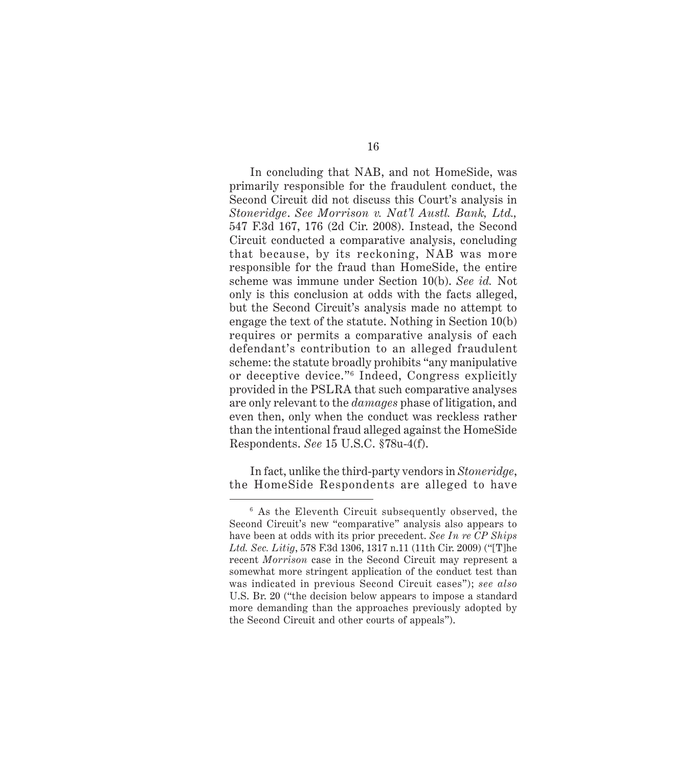In concluding that NAB, and not HomeSide, was primarily responsible for the fraudulent conduct, the Second Circuit did not discuss this Court's analysis in *Stoneridge*. *See Morrison v. Nat'l Austl. Bank, Ltd.,* 547 F.3d 167, 176 (2d Cir. 2008). Instead, the Second Circuit conducted a comparative analysis, concluding that because, by its reckoning, NAB was more responsible for the fraud than HomeSide, the entire scheme was immune under Section 10(b). *See id.* Not only is this conclusion at odds with the facts alleged, but the Second Circuit's analysis made no attempt to engage the text of the statute. Nothing in Section 10(b) requires or permits a comparative analysis of each defendant's contribution to an alleged fraudulent scheme: the statute broadly prohibits "any manipulative or deceptive device."6 Indeed, Congress explicitly provided in the PSLRA that such comparative analyses are only relevant to the *damages* phase of litigation, and even then, only when the conduct was reckless rather than the intentional fraud alleged against the HomeSide Respondents. *See* 15 U.S.C. §78u-4(f).

In fact, unlike the third-party vendors in *Stoneridge*, the HomeSide Respondents are alleged to have

<sup>6</sup> As the Eleventh Circuit subsequently observed, the Second Circuit's new "comparative" analysis also appears to have been at odds with its prior precedent. *See In re CP Ships Ltd. Sec. Litig*, 578 F.3d 1306, 1317 n.11 (11th Cir. 2009) ("[T]he recent *Morrison* case in the Second Circuit may represent a somewhat more stringent application of the conduct test than was indicated in previous Second Circuit cases"); *see also* U.S. Br. 20 ("the decision below appears to impose a standard more demanding than the approaches previously adopted by the Second Circuit and other courts of appeals").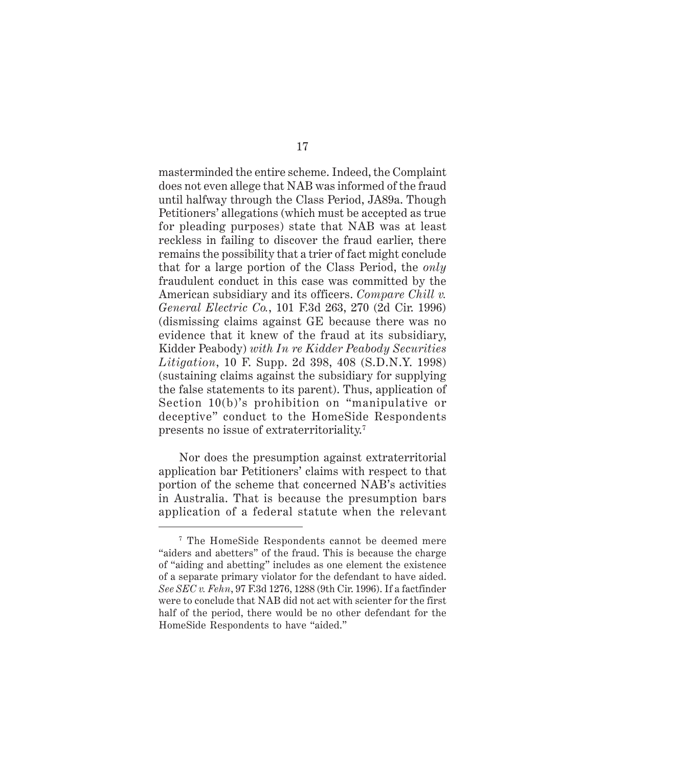masterminded the entire scheme. Indeed, the Complaint does not even allege that NAB was informed of the fraud until halfway through the Class Period, JA89a. Though Petitioners' allegations (which must be accepted as true for pleading purposes) state that NAB was at least reckless in failing to discover the fraud earlier, there remains the possibility that a trier of fact might conclude that for a large portion of the Class Period, the *only* fraudulent conduct in this case was committed by the American subsidiary and its officers. *Compare Chill v. General Electric Co.*, 101 F.3d 263, 270 (2d Cir. 1996) (dismissing claims against GE because there was no evidence that it knew of the fraud at its subsidiary, Kidder Peabody) *with In re Kidder Peabody Securities Litigation*, 10 F. Supp. 2d 398, 408 (S.D.N.Y. 1998) (sustaining claims against the subsidiary for supplying the false statements to its parent). Thus, application of Section 10(b)'s prohibition on "manipulative or deceptive" conduct to the HomeSide Respondents presents no issue of extraterritoriality.7

Nor does the presumption against extraterritorial application bar Petitioners' claims with respect to that portion of the scheme that concerned NAB's activities in Australia. That is because the presumption bars application of a federal statute when the relevant

<sup>7</sup> The HomeSide Respondents cannot be deemed mere "aiders and abetters" of the fraud. This is because the charge of "aiding and abetting" includes as one element the existence of a separate primary violator for the defendant to have aided. *See SEC v. Fehn*, 97 F.3d 1276, 1288 (9th Cir. 1996). If a factfinder were to conclude that NAB did not act with scienter for the first half of the period, there would be no other defendant for the HomeSide Respondents to have "aided."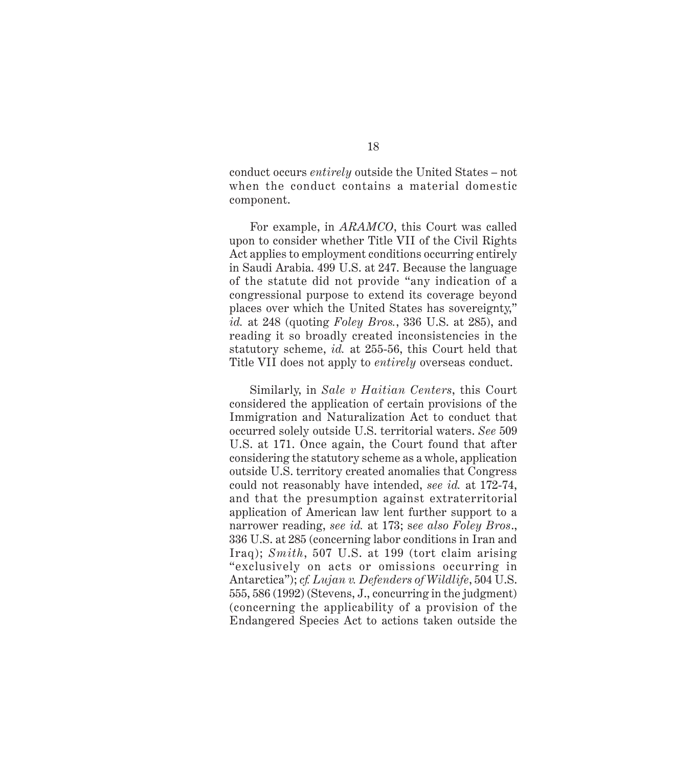conduct occurs *entirely* outside the United States – not when the conduct contains a material domestic component.

For example, in *ARAMCO*, this Court was called upon to consider whether Title VII of the Civil Rights Act applies to employment conditions occurring entirely in Saudi Arabia. 499 U.S. at 247. Because the language of the statute did not provide "any indication of a congressional purpose to extend its coverage beyond places over which the United States has sovereignty," *id.* at 248 (quoting *Foley Bros.*, 336 U.S. at 285), and reading it so broadly created inconsistencies in the statutory scheme, *id.* at 255-56, this Court held that Title VII does not apply to *entirely* overseas conduct.

Similarly, in *Sale v Haitian Centers*, this Court considered the application of certain provisions of the Immigration and Naturalization Act to conduct that occurred solely outside U.S. territorial waters. *See* 509 U.S. at 171. Once again, the Court found that after considering the statutory scheme as a whole, application outside U.S. territory created anomalies that Congress could not reasonably have intended, *see id.* at 172-74, and that the presumption against extraterritorial application of American law lent further support to a narrower reading, *see id.* at 173; s*ee also Foley Bros*., 336 U.S. at 285 (concerning labor conditions in Iran and Iraq); *Smith*, 507 U.S. at 199 (tort claim arising "exclusively on acts or omissions occurring in Antarctica"); *cf. Lujan v. Defenders of Wildlife*, 504 U.S. 555, 586 (1992) (Stevens, J., concurring in the judgment) (concerning the applicability of a provision of the Endangered Species Act to actions taken outside the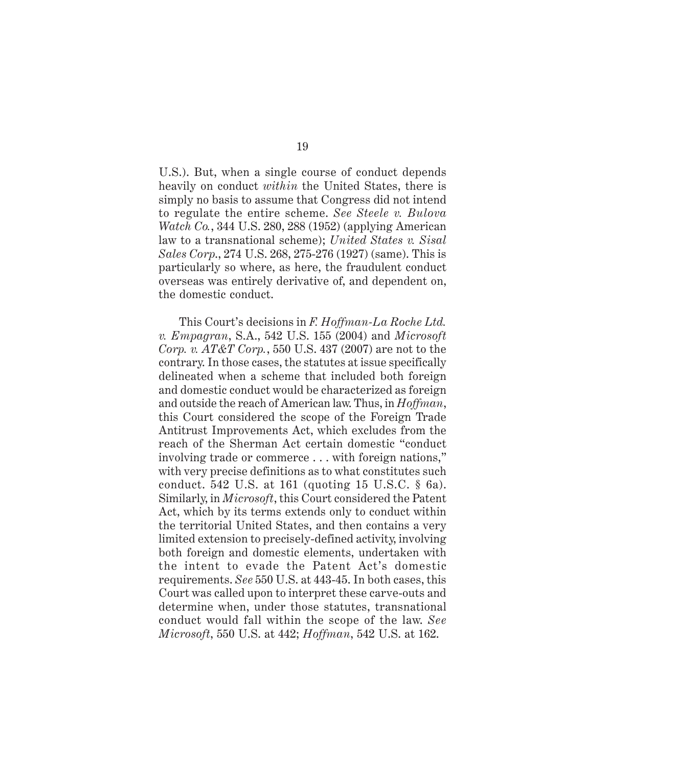U.S.). But, when a single course of conduct depends heavily on conduct *within* the United States, there is simply no basis to assume that Congress did not intend to regulate the entire scheme. *See Steele v. Bulova Watch Co.*, 344 U.S. 280, 288 (1952) (applying American law to a transnational scheme); *United States v. Sisal Sales Corp*., 274 U.S. 268, 275-276 (1927) (same). This is particularly so where, as here, the fraudulent conduct overseas was entirely derivative of, and dependent on, the domestic conduct.

This Court's decisions in *F. Hoffman-La Roche Ltd. v. Empagran*, S.A., 542 U.S. 155 (2004) and *Microsoft Corp. v. AT&T Corp.*, 550 U.S. 437 (2007) are not to the contrary. In those cases, the statutes at issue specifically delineated when a scheme that included both foreign and domestic conduct would be characterized as foreign and outside the reach of American law. Thus, in *Hoffman*, this Court considered the scope of the Foreign Trade Antitrust Improvements Act, which excludes from the reach of the Sherman Act certain domestic "conduct involving trade or commerce . . . with foreign nations," with very precise definitions as to what constitutes such conduct. 542 U.S. at 161 (quoting 15 U.S.C. § 6a). Similarly, in *Microsoft*, this Court considered the Patent Act, which by its terms extends only to conduct within the territorial United States, and then contains a very limited extension to precisely-defined activity, involving both foreign and domestic elements, undertaken with the intent to evade the Patent Act's domestic requirements. *See* 550 U.S. at 443-45. In both cases, this Court was called upon to interpret these carve-outs and determine when, under those statutes, transnational conduct would fall within the scope of the law. *See Microsoft*, 550 U.S. at 442; *Hoffman*, 542 U.S. at 162.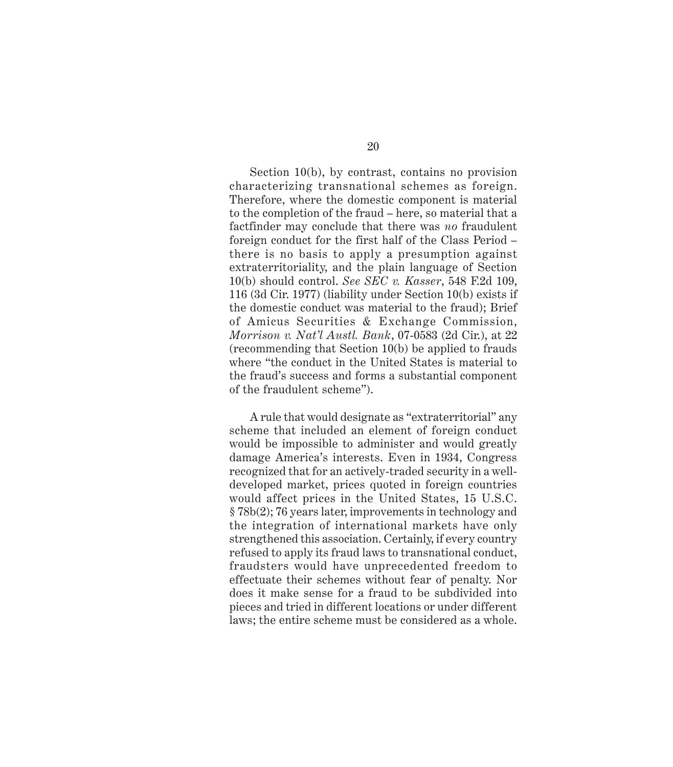Section 10(b), by contrast, contains no provision characterizing transnational schemes as foreign. Therefore, where the domestic component is material to the completion of the fraud – here, so material that a factfinder may conclude that there was *no* fraudulent foreign conduct for the first half of the Class Period – there is no basis to apply a presumption against extraterritoriality, and the plain language of Section 10(b) should control. *See SEC v. Kasser*, 548 F.2d 109, 116 (3d Cir. 1977) (liability under Section 10(b) exists if the domestic conduct was material to the fraud); Brief of Amicus Securities & Exchange Commission, *Morrison v. Nat'l Austl. Bank*, 07-0583 (2d Cir.), at 22 (recommending that Section 10(b) be applied to frauds where "the conduct in the United States is material to the fraud's success and forms a substantial component of the fraudulent scheme").

A rule that would designate as "extraterritorial" any scheme that included an element of foreign conduct would be impossible to administer and would greatly damage America's interests. Even in 1934, Congress recognized that for an actively-traded security in a welldeveloped market, prices quoted in foreign countries would affect prices in the United States, 15 U.S.C. § 78b(2); 76 years later, improvements in technology and the integration of international markets have only strengthened this association. Certainly, if every country refused to apply its fraud laws to transnational conduct, fraudsters would have unprecedented freedom to effectuate their schemes without fear of penalty. Nor does it make sense for a fraud to be subdivided into pieces and tried in different locations or under different laws; the entire scheme must be considered as a whole.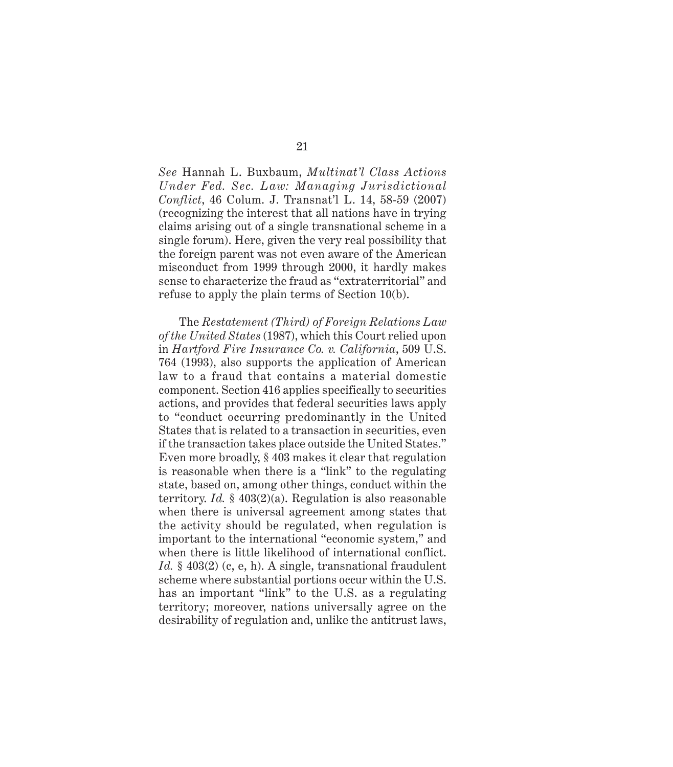*See* Hannah L. Buxbaum, *Multinat'l Class Actions Under Fed. Sec. Law: Managing Jurisdictional Conflict*, 46 Colum. J. Transnat'l L. 14, 58-59 (2007) (recognizing the interest that all nations have in trying claims arising out of a single transnational scheme in a single forum). Here, given the very real possibility that the foreign parent was not even aware of the American misconduct from 1999 through 2000, it hardly makes sense to characterize the fraud as "extraterritorial" and refuse to apply the plain terms of Section 10(b).

The *Restatement (Third) of Foreign Relations Law of the United States* (1987), which this Court relied upon in *Hartford Fire Insurance Co. v. California*, 509 U.S. 764 (1993), also supports the application of American law to a fraud that contains a material domestic component. Section 416 applies specifically to securities actions, and provides that federal securities laws apply to "conduct occurring predominantly in the United States that is related to a transaction in securities, even if the transaction takes place outside the United States." Even more broadly, § 403 makes it clear that regulation is reasonable when there is a "link" to the regulating state, based on, among other things, conduct within the territory. *Id.* § 403(2)(a). Regulation is also reasonable when there is universal agreement among states that the activity should be regulated, when regulation is important to the international "economic system," and when there is little likelihood of international conflict. *Id.* § 403(2) (c, e, h). A single, transnational fraudulent scheme where substantial portions occur within the U.S. has an important "link" to the U.S. as a regulating territory; moreover, nations universally agree on the desirability of regulation and, unlike the antitrust laws,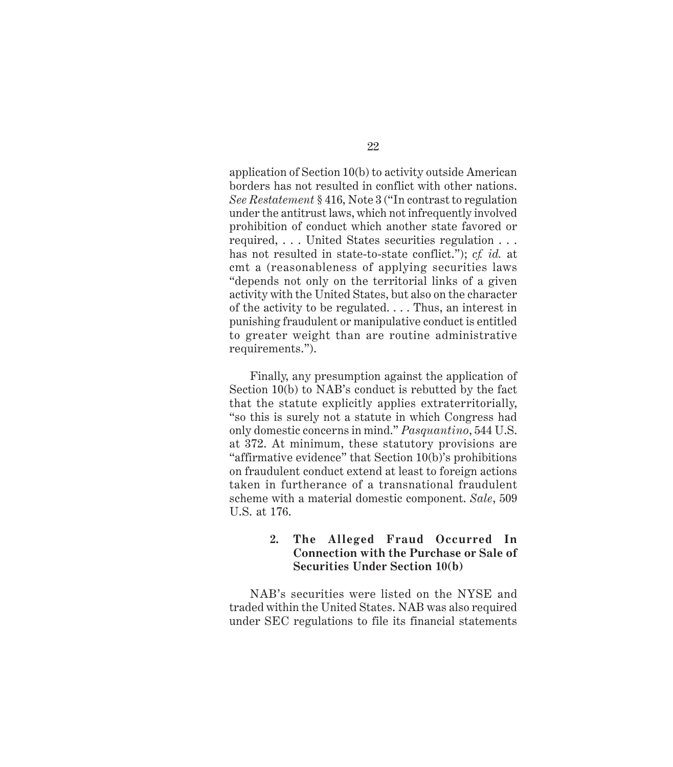application of Section 10(b) to activity outside American borders has not resulted in conflict with other nations. *See Restatement* § 416, Note 3 ("In contrast to regulation under the antitrust laws, which not infrequently involved prohibition of conduct which another state favored or required, . . . United States securities regulation . . . has not resulted in state-to-state conflict."); *cf. id.* at cmt a (reasonableness of applying securities laws "depends not only on the territorial links of a given activity with the United States, but also on the character of the activity to be regulated. . . . Thus, an interest in punishing fraudulent or manipulative conduct is entitled to greater weight than are routine administrative requirements.").

Finally, any presumption against the application of Section 10(b) to NAB's conduct is rebutted by the fact that the statute explicitly applies extraterritorially, "so this is surely not a statute in which Congress had only domestic concerns in mind." *Pasquantino*, 544 U.S. at 372. At minimum, these statutory provisions are "affirmative evidence" that Section 10(b)'s prohibitions on fraudulent conduct extend at least to foreign actions taken in furtherance of a transnational fraudulent scheme with a material domestic component. *Sale*, 509 U.S. at 176.

### **2. The Alleged Fraud Occurred In Connection with the Purchase or Sale of Securities Under Section 10(b)**

NAB's securities were listed on the NYSE and traded within the United States. NAB was also required under SEC regulations to file its financial statements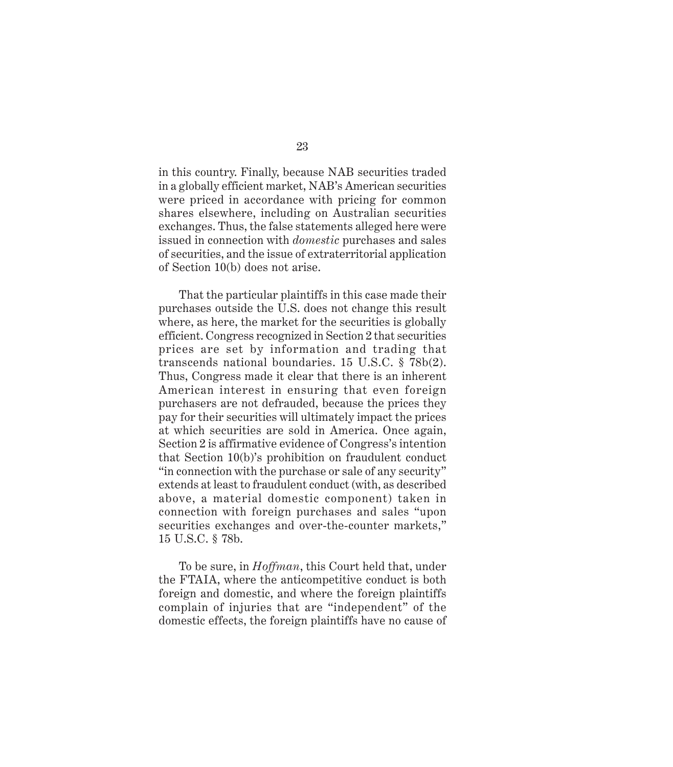in this country. Finally, because NAB securities traded in a globally efficient market, NAB's American securities were priced in accordance with pricing for common shares elsewhere, including on Australian securities exchanges. Thus, the false statements alleged here were issued in connection with *domestic* purchases and sales of securities, and the issue of extraterritorial application of Section 10(b) does not arise.

That the particular plaintiffs in this case made their purchases outside the U.S. does not change this result where, as here, the market for the securities is globally efficient. Congress recognized in Section 2 that securities prices are set by information and trading that transcends national boundaries. 15 U.S.C. § 78b(2). Thus, Congress made it clear that there is an inherent American interest in ensuring that even foreign purchasers are not defrauded, because the prices they pay for their securities will ultimately impact the prices at which securities are sold in America. Once again, Section 2 is affirmative evidence of Congress's intention that Section 10(b)'s prohibition on fraudulent conduct "in connection with the purchase or sale of any security" extends at least to fraudulent conduct (with, as described above, a material domestic component) taken in connection with foreign purchases and sales "upon securities exchanges and over-the-counter markets," 15 U.S.C. § 78b.

To be sure, in *Hoffman*, this Court held that, under the FTAIA, where the anticompetitive conduct is both foreign and domestic, and where the foreign plaintiffs complain of injuries that are "independent" of the domestic effects, the foreign plaintiffs have no cause of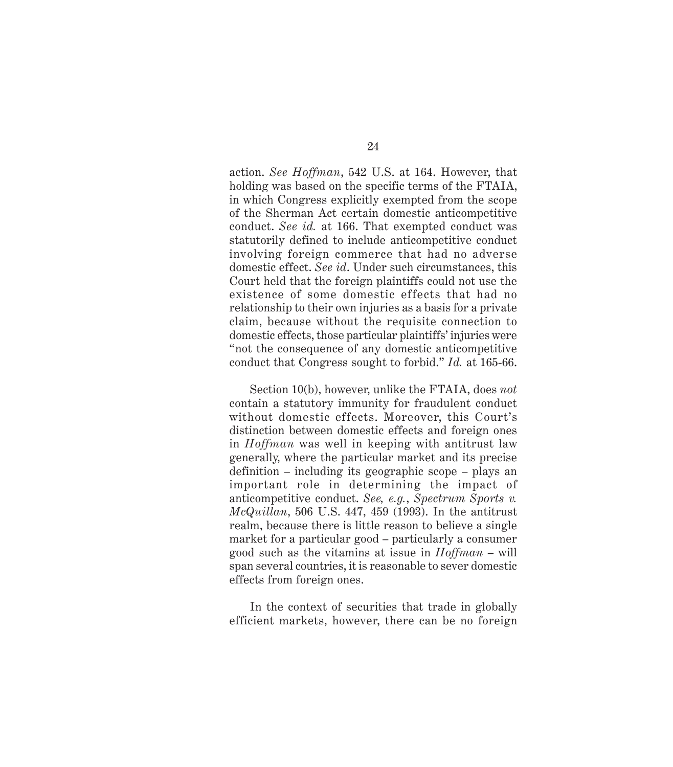action. *See Hoffman*, 542 U.S. at 164. However, that holding was based on the specific terms of the FTAIA, in which Congress explicitly exempted from the scope of the Sherman Act certain domestic anticompetitive conduct. *See id.* at 166. That exempted conduct was statutorily defined to include anticompetitive conduct involving foreign commerce that had no adverse domestic effect. *See id*. Under such circumstances, this Court held that the foreign plaintiffs could not use the existence of some domestic effects that had no relationship to their own injuries as a basis for a private claim, because without the requisite connection to domestic effects, those particular plaintiffs' injuries were "not the consequence of any domestic anticompetitive conduct that Congress sought to forbid." *Id.* at 165-66.

Section 10(b), however, unlike the FTAIA, does *not* contain a statutory immunity for fraudulent conduct without domestic effects. Moreover, this Court's distinction between domestic effects and foreign ones in *Hoffman* was well in keeping with antitrust law generally, where the particular market and its precise definition – including its geographic scope – plays an important role in determining the impact of anticompetitive conduct. *See, e.g.*, *Spectrum Sports v. McQuillan*, 506 U.S. 447, 459 (1993). In the antitrust realm, because there is little reason to believe a single market for a particular good – particularly a consumer good such as the vitamins at issue in *Hoffman* – will span several countries, it is reasonable to sever domestic effects from foreign ones.

In the context of securities that trade in globally efficient markets, however, there can be no foreign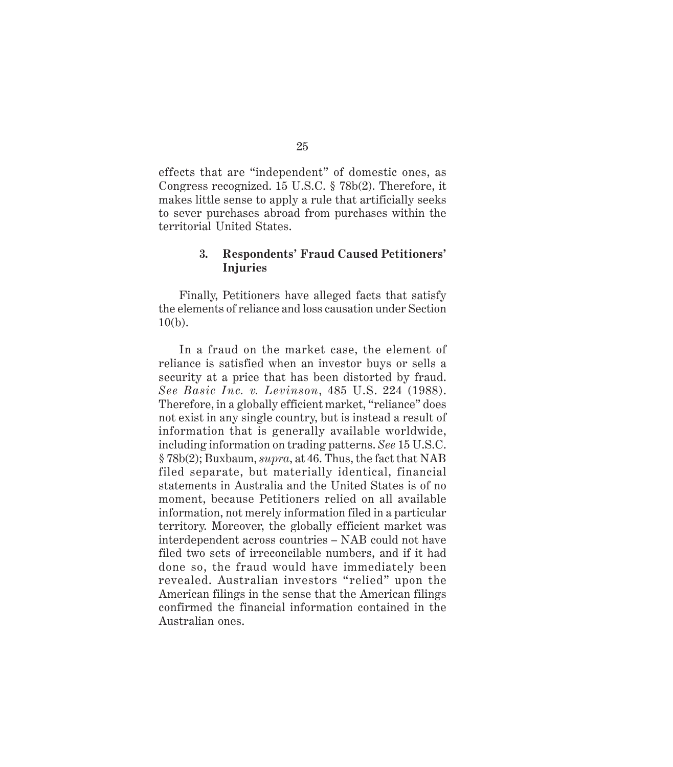effects that are "independent" of domestic ones, as Congress recognized. 15 U.S.C. § 78b(2). Therefore, it makes little sense to apply a rule that artificially seeks to sever purchases abroad from purchases within the territorial United States.

#### **3. Respondents' Fraud Caused Petitioners' Injuries**

Finally, Petitioners have alleged facts that satisfy the elements of reliance and loss causation under Section 10(b).

In a fraud on the market case, the element of reliance is satisfied when an investor buys or sells a security at a price that has been distorted by fraud. *See Basic Inc. v. Levinson*, 485 U.S. 224 (1988). Therefore, in a globally efficient market, "reliance" does not exist in any single country, but is instead a result of information that is generally available worldwide, including information on trading patterns. *See* 15 U.S.C. § 78b(2); Buxbaum, *supra*, at 46. Thus, the fact that NAB filed separate, but materially identical, financial statements in Australia and the United States is of no moment, because Petitioners relied on all available information, not merely information filed in a particular territory. Moreover, the globally efficient market was interdependent across countries – NAB could not have filed two sets of irreconcilable numbers, and if it had done so, the fraud would have immediately been revealed. Australian investors "relied" upon the American filings in the sense that the American filings confirmed the financial information contained in the Australian ones.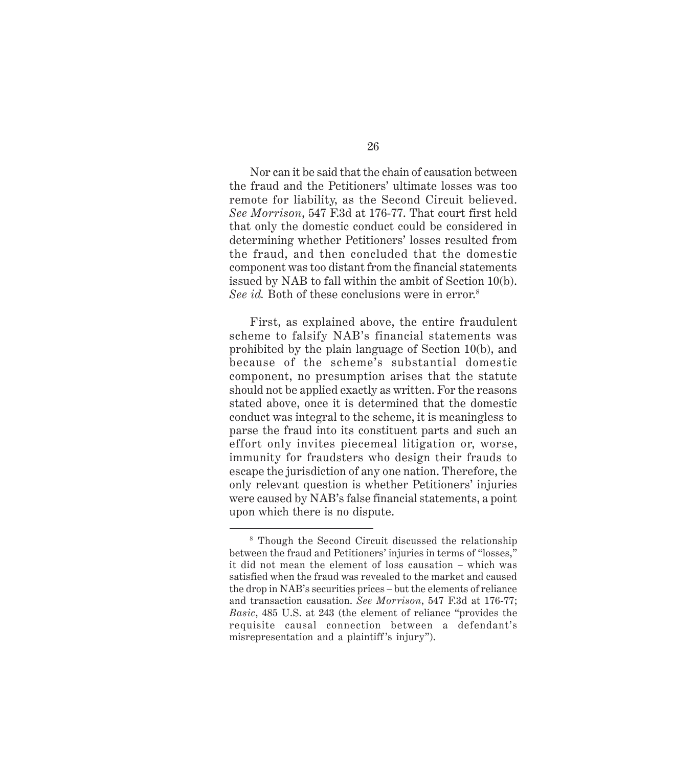Nor can it be said that the chain of causation between the fraud and the Petitioners' ultimate losses was too remote for liability, as the Second Circuit believed. *See Morrison*, 547 F.3d at 176-77. That court first held that only the domestic conduct could be considered in determining whether Petitioners' losses resulted from the fraud, and then concluded that the domestic component was too distant from the financial statements issued by NAB to fall within the ambit of Section 10(b). *See id.* Both of these conclusions were in error.<sup>8</sup>

First, as explained above, the entire fraudulent scheme to falsify NAB's financial statements was prohibited by the plain language of Section 10(b), and because of the scheme's substantial domestic component, no presumption arises that the statute should not be applied exactly as written. For the reasons stated above, once it is determined that the domestic conduct was integral to the scheme, it is meaningless to parse the fraud into its constituent parts and such an effort only invites piecemeal litigation or, worse, immunity for fraudsters who design their frauds to escape the jurisdiction of any one nation. Therefore, the only relevant question is whether Petitioners' injuries were caused by NAB's false financial statements, a point upon which there is no dispute.

<sup>8</sup> Though the Second Circuit discussed the relationship between the fraud and Petitioners' injuries in terms of "losses," it did not mean the element of loss causation – which was satisfied when the fraud was revealed to the market and caused the drop in NAB's securities prices – but the elements of reliance and transaction causation. *See Morrison*, 547 F.3d at 176-77; *Basic*, 485 U.S. at 243 (the element of reliance "provides the requisite causal connection between a defendant's misrepresentation and a plaintiff 's injury").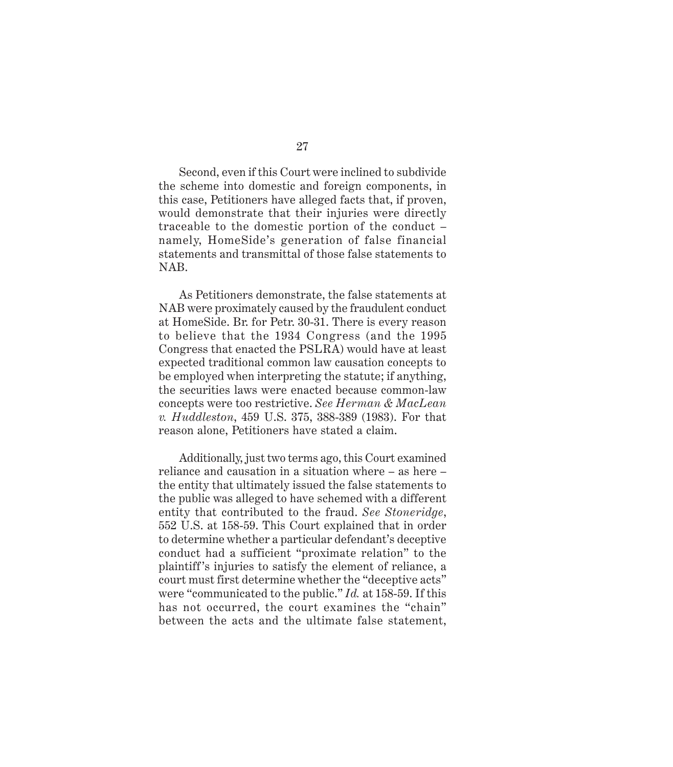Second, even if this Court were inclined to subdivide the scheme into domestic and foreign components, in this case, Petitioners have alleged facts that, if proven, would demonstrate that their injuries were directly traceable to the domestic portion of the conduct – namely, HomeSide's generation of false financial statements and transmittal of those false statements to NAB.

As Petitioners demonstrate, the false statements at NAB were proximately caused by the fraudulent conduct at HomeSide. Br. for Petr. 30-31. There is every reason to believe that the 1934 Congress (and the 1995 Congress that enacted the PSLRA) would have at least expected traditional common law causation concepts to be employed when interpreting the statute; if anything, the securities laws were enacted because common-law concepts were too restrictive. *See Herman & MacLean v. Huddleston*, 459 U.S. 375, 388-389 (1983). For that reason alone, Petitioners have stated a claim.

Additionally, just two terms ago, this Court examined reliance and causation in a situation where – as here – the entity that ultimately issued the false statements to the public was alleged to have schemed with a different entity that contributed to the fraud. *See Stoneridge*, 552 U.S. at 158-59. This Court explained that in order to determine whether a particular defendant's deceptive conduct had a sufficient "proximate relation" to the plaintiff's injuries to satisfy the element of reliance, a court must first determine whether the "deceptive acts" were "communicated to the public." *Id.* at 158-59. If this has not occurred, the court examines the "chain" between the acts and the ultimate false statement,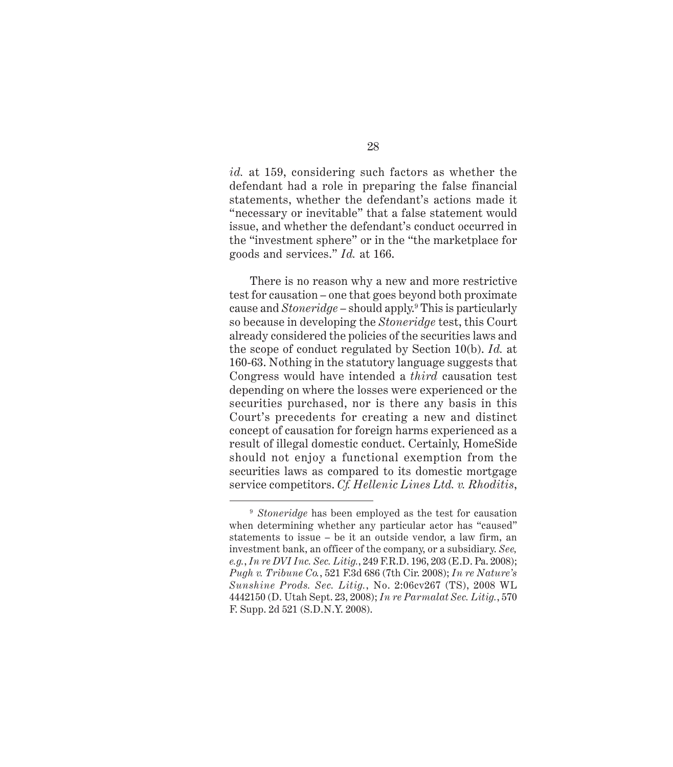*id.* at 159, considering such factors as whether the defendant had a role in preparing the false financial statements, whether the defendant's actions made it "necessary or inevitable" that a false statement would issue, and whether the defendant's conduct occurred in the "investment sphere" or in the "the marketplace for goods and services." *Id.* at 166.

There is no reason why a new and more restrictive test for causation – one that goes beyond both proximate cause and *Stoneridge* – should apply.9 This is particularly so because in developing the *Stoneridge* test, this Court already considered the policies of the securities laws and the scope of conduct regulated by Section 10(b). *Id.* at 160-63. Nothing in the statutory language suggests that Congress would have intended a *third* causation test depending on where the losses were experienced or the securities purchased, nor is there any basis in this Court's precedents for creating a new and distinct concept of causation for foreign harms experienced as a result of illegal domestic conduct. Certainly, HomeSide should not enjoy a functional exemption from the securities laws as compared to its domestic mortgage service competitors. *Cf. Hellenic Lines Ltd. v. Rhoditis*,

<sup>9</sup> *Stoneridge* has been employed as the test for causation when determining whether any particular actor has "caused" statements to issue – be it an outside vendor, a law firm, an investment bank, an officer of the company, or a subsidiary. *See, e.g.*, *In re DVI Inc. Sec. Litig.*, 249 F.R.D. 196, 203 (E.D. Pa. 2008); *Pugh v. Tribune Co.*, 521 F.3d 686 (7th Cir. 2008); *In re Nature's Sunshine Prods. Sec. Litig.*, No. 2:06cv267 (TS), 2008 WL 4442150 (D. Utah Sept. 23, 2008); *In re Parmalat Sec. Litig.*, 570 F. Supp. 2d 521 (S.D.N.Y. 2008).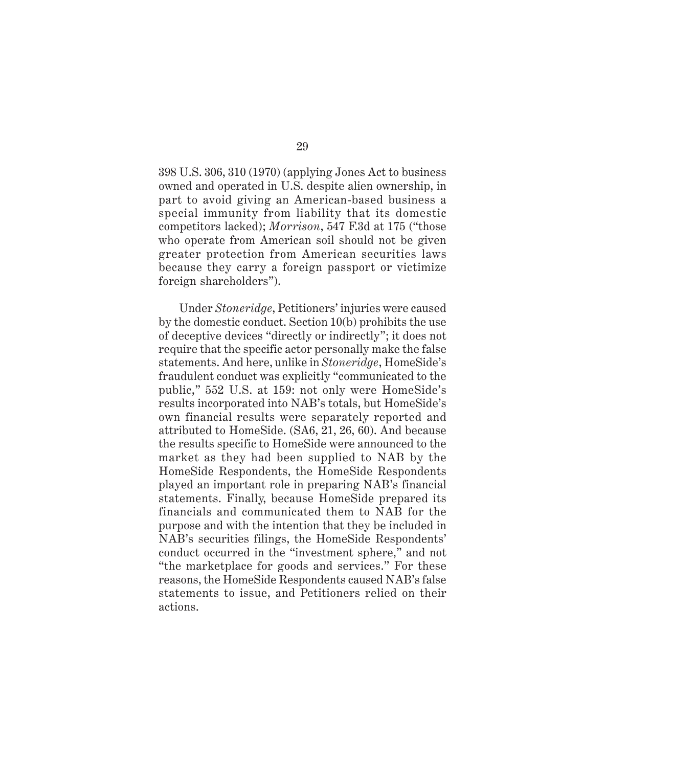398 U.S. 306, 310 (1970) (applying Jones Act to business owned and operated in U.S. despite alien ownership, in part to avoid giving an American-based business a special immunity from liability that its domestic competitors lacked); *Morrison*, 547 F.3d at 175 ("those who operate from American soil should not be given greater protection from American securities laws because they carry a foreign passport or victimize foreign shareholders").

Under *Stoneridge*, Petitioners' injuries were caused by the domestic conduct. Section 10(b) prohibits the use of deceptive devices "directly or indirectly"; it does not require that the specific actor personally make the false statements. And here, unlike in *Stoneridge*, HomeSide's fraudulent conduct was explicitly "communicated to the public," 552 U.S. at 159: not only were HomeSide's results incorporated into NAB's totals, but HomeSide's own financial results were separately reported and attributed to HomeSide. (SA6, 21, 26, 60). And because the results specific to HomeSide were announced to the market as they had been supplied to NAB by the HomeSide Respondents, the HomeSide Respondents played an important role in preparing NAB's financial statements. Finally, because HomeSide prepared its financials and communicated them to NAB for the purpose and with the intention that they be included in NAB's securities filings, the HomeSide Respondents' conduct occurred in the "investment sphere," and not "the marketplace for goods and services." For these reasons, the HomeSide Respondents caused NAB's false statements to issue, and Petitioners relied on their actions.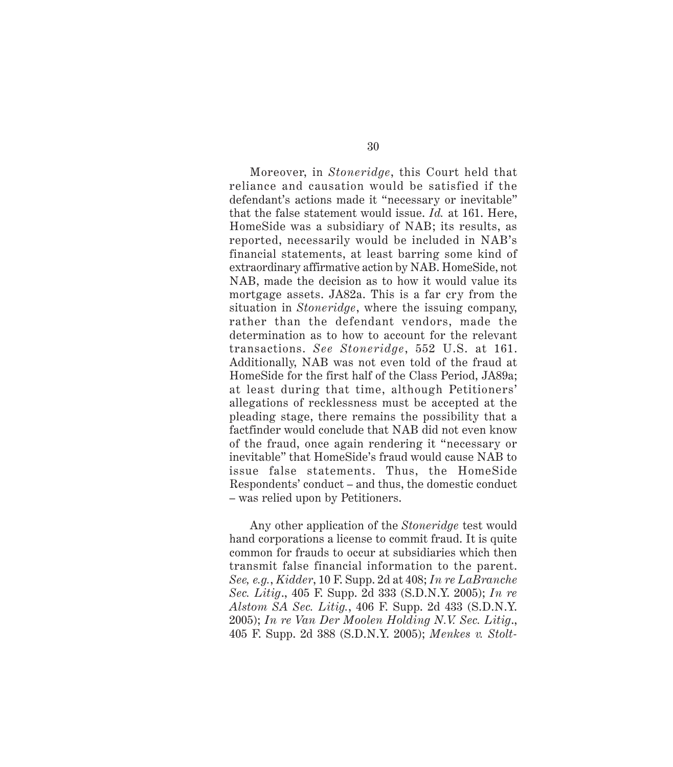Moreover, in *Stoneridge*, this Court held that reliance and causation would be satisfied if the defendant's actions made it "necessary or inevitable" that the false statement would issue. *Id.* at 161. Here, HomeSide was a subsidiary of NAB; its results, as reported, necessarily would be included in NAB's financial statements, at least barring some kind of extraordinary affirmative action by NAB. HomeSide, not NAB, made the decision as to how it would value its mortgage assets. JA82a. This is a far cry from the situation in *Stoneridge*, where the issuing company, rather than the defendant vendors, made the determination as to how to account for the relevant transactions. *See Stoneridge*, 552 U.S. at 161. Additionally, NAB was not even told of the fraud at HomeSide for the first half of the Class Period, JA89a; at least during that time, although Petitioners' allegations of recklessness must be accepted at the pleading stage, there remains the possibility that a factfinder would conclude that NAB did not even know of the fraud, once again rendering it "necessary or inevitable" that HomeSide's fraud would cause NAB to issue false statements. Thus, the HomeSide Respondents' conduct – and thus, the domestic conduct – was relied upon by Petitioners.

Any other application of the *Stoneridge* test would hand corporations a license to commit fraud. It is quite common for frauds to occur at subsidiaries which then transmit false financial information to the parent. *See, e.g.*, *Kidder*, 10 F. Supp. 2d at 408; *In re LaBranche Sec. Litig*., 405 F. Supp. 2d 333 (S.D.N.Y. 2005); *In re Alstom SA Sec. Litig.*, 406 F. Supp. 2d 433 (S.D.N.Y. 2005); *In re Van Der Moolen Holding N.V. Sec. Litig*., 405 F. Supp. 2d 388 (S.D.N.Y. 2005); *Menkes v. Stolt-*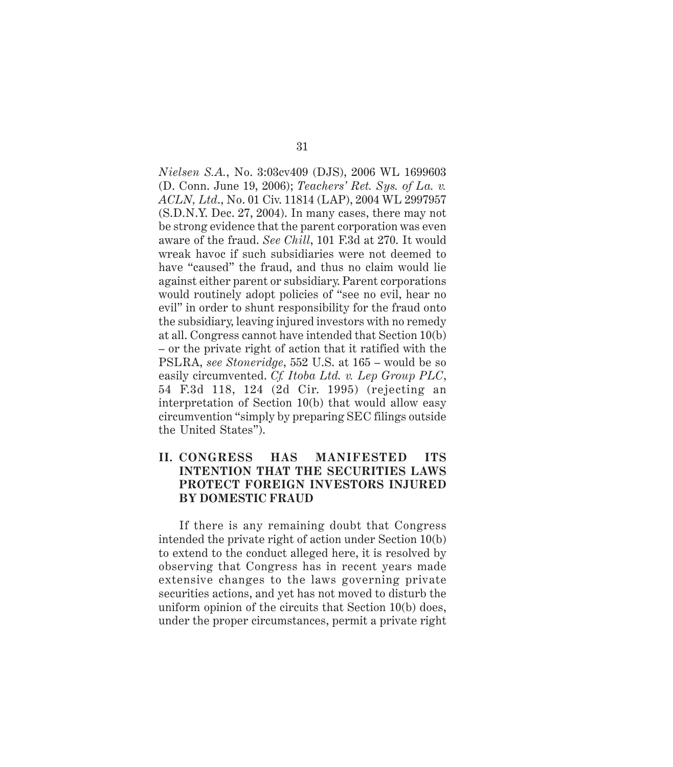*Nielsen S.A.*, No. 3:03cv409 (DJS), 2006 WL 1699603 (D. Conn. June 19, 2006); *Teachers' Ret. Sys. of La. v. ACLN, Ltd*., No. 01 Civ. 11814 (LAP), 2004 WL 2997957 (S.D.N.Y. Dec. 27, 2004). In many cases, there may not be strong evidence that the parent corporation was even aware of the fraud. *See Chill*, 101 F.3d at 270. It would wreak havoc if such subsidiaries were not deemed to have "caused" the fraud, and thus no claim would lie against either parent or subsidiary. Parent corporations would routinely adopt policies of "see no evil, hear no evil" in order to shunt responsibility for the fraud onto the subsidiary, leaving injured investors with no remedy at all. Congress cannot have intended that Section 10(b) – or the private right of action that it ratified with the PSLRA, *see Stoneridge*, 552 U.S. at 165 – would be so easily circumvented. *Cf. Itoba Ltd. v. Lep Group PLC*, 54 F.3d 118, 124 (2d Cir. 1995) (rejecting an interpretation of Section 10(b) that would allow easy circumvention "simply by preparing SEC filings outside the United States").

### **II. CONGRESS HAS MANIFESTED ITS INTENTION THAT THE SECURITIES LAWS PROTECT FOREIGN INVESTORS INJURED BY DOMESTIC FRAUD**

If there is any remaining doubt that Congress intended the private right of action under Section 10(b) to extend to the conduct alleged here, it is resolved by observing that Congress has in recent years made extensive changes to the laws governing private securities actions, and yet has not moved to disturb the uniform opinion of the circuits that Section 10(b) does, under the proper circumstances, permit a private right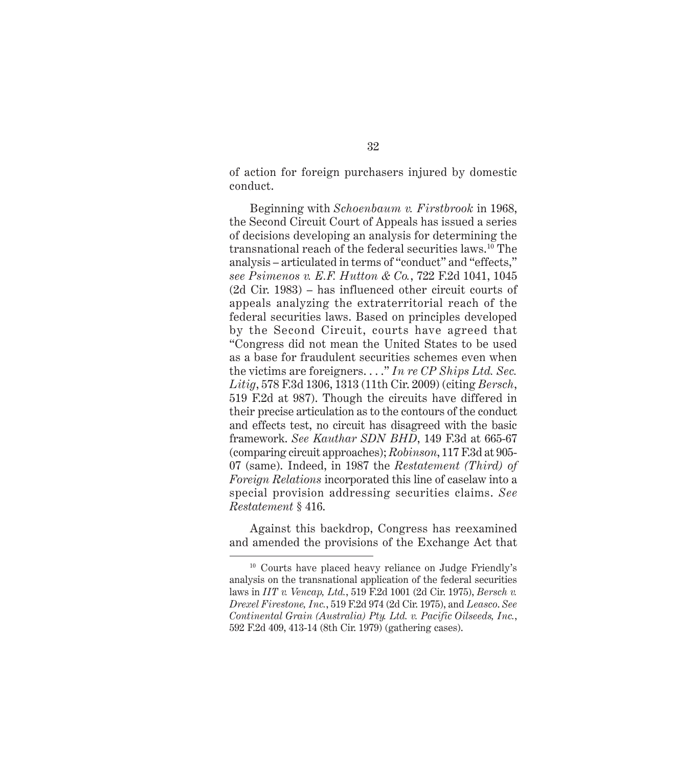of action for foreign purchasers injured by domestic conduct.

Beginning with *Schoenbaum v. Firstbrook* in 1968, the Second Circuit Court of Appeals has issued a series of decisions developing an analysis for determining the transnational reach of the federal securities laws.10 The analysis – articulated in terms of "conduct" and "effects," *see Psimenos v. E.F. Hutton & Co.*, 722 F.2d 1041, 1045 (2d Cir. 1983) – has influenced other circuit courts of appeals analyzing the extraterritorial reach of the federal securities laws. Based on principles developed by the Second Circuit, courts have agreed that "Congress did not mean the United States to be used as a base for fraudulent securities schemes even when the victims are foreigners. . . ." *In re CP Ships Ltd. Sec. Litig*, 578 F.3d 1306, 1313 (11th Cir. 2009) (citing *Bersch*, 519 F.2d at 987). Though the circuits have differed in their precise articulation as to the contours of the conduct and effects test, no circuit has disagreed with the basic framework. *See Kauthar SDN BHD*, 149 F.3d at 665-67 (comparing circuit approaches); *Robinson*, 117 F.3d at 905- 07 (same). Indeed, in 1987 the *Restatement (Third) of Foreign Relations* incorporated this line of caselaw into a special provision addressing securities claims. *See Restatement* § 416.

Against this backdrop, Congress has reexamined and amended the provisions of the Exchange Act that

<sup>10</sup> Courts have placed heavy reliance on Judge Friendly's analysis on the transnational application of the federal securities laws in *IIT v. Vencap, Ltd.*, 519 F.2d 1001 (2d Cir. 1975), *Bersch v. Drexel Firestone, Inc.*, 519 F.2d 974 (2d Cir. 1975), and *Leasco*. *See Continental Grain (Australia) Pty. Ltd. v. Pacific Oilseeds, Inc.*, 592 F.2d 409, 413-14 (8th Cir. 1979) (gathering cases).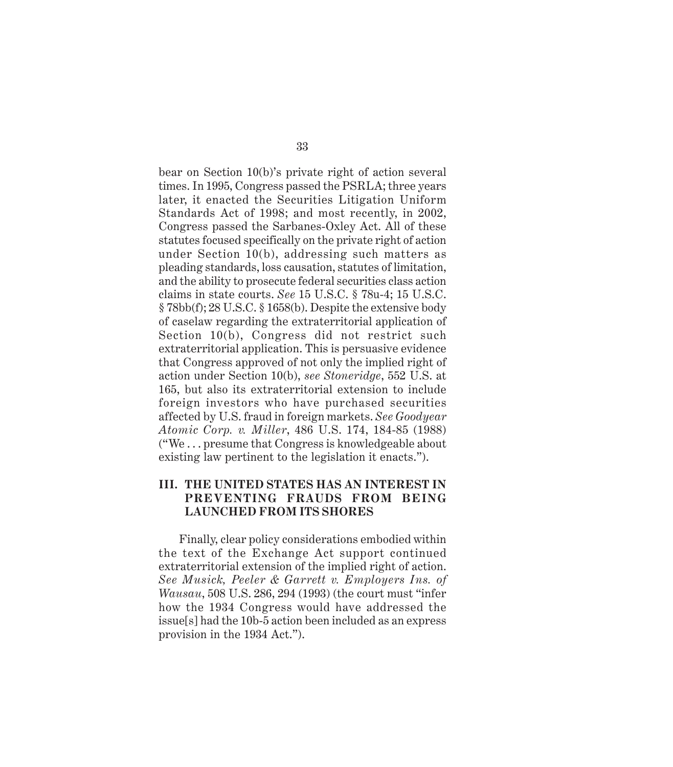bear on Section 10(b)'s private right of action several times. In 1995, Congress passed the PSRLA; three years later, it enacted the Securities Litigation Uniform Standards Act of 1998; and most recently, in 2002, Congress passed the Sarbanes-Oxley Act. All of these statutes focused specifically on the private right of action under Section 10(b), addressing such matters as pleading standards, loss causation, statutes of limitation, and the ability to prosecute federal securities class action claims in state courts. *See* 15 U.S.C. § 78u-4; 15 U.S.C. § 78bb(f); 28 U.S.C. § 1658(b). Despite the extensive body of caselaw regarding the extraterritorial application of Section 10(b), Congress did not restrict such extraterritorial application. This is persuasive evidence that Congress approved of not only the implied right of action under Section 10(b), *see Stoneridge*, 552 U.S. at 165, but also its extraterritorial extension to include foreign investors who have purchased securities affected by U.S. fraud in foreign markets. *See Goodyear Atomic Corp. v. Miller*, 486 U.S. 174, 184-85 (1988) ("We . . . presume that Congress is knowledgeable about existing law pertinent to the legislation it enacts.").

### **III. THE UNITED STATES HAS AN INTEREST IN PREVENTING FRAUDS FROM BEING LAUNCHED FROM ITS SHORES**

Finally, clear policy considerations embodied within the text of the Exchange Act support continued extraterritorial extension of the implied right of action. *See Musick, Peeler & Garrett v. Employers Ins. of Wausau*, 508 U.S. 286, 294 (1993) (the court must "infer how the 1934 Congress would have addressed the issue[s] had the 10b-5 action been included as an express provision in the 1934 Act.").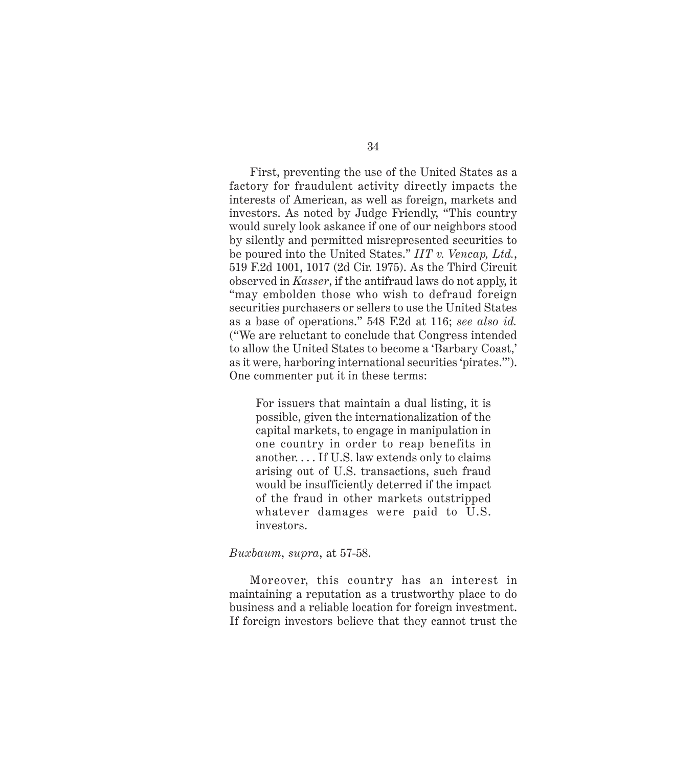First, preventing the use of the United States as a factory for fraudulent activity directly impacts the interests of American, as well as foreign, markets and investors. As noted by Judge Friendly, "This country would surely look askance if one of our neighbors stood by silently and permitted misrepresented securities to be poured into the United States." *IIT v. Vencap, Ltd.*, 519 F.2d 1001, 1017 (2d Cir. 1975). As the Third Circuit observed in *Kasser*, if the antifraud laws do not apply, it "may embolden those who wish to defraud foreign securities purchasers or sellers to use the United States as a base of operations." 548 F.2d at 116; *see also id.* ("We are reluctant to conclude that Congress intended to allow the United States to become a 'Barbary Coast,' as it were, harboring international securities 'pirates.'"). One commenter put it in these terms:

For issuers that maintain a dual listing, it is possible, given the internationalization of the capital markets, to engage in manipulation in one country in order to reap benefits in another. . . . If U.S. law extends only to claims arising out of U.S. transactions, such fraud would be insufficiently deterred if the impact of the fraud in other markets outstripped whatever damages were paid to U.S. investors.

#### *Buxbaum*, *supra*, at 57-58.

Moreover, this country has an interest in maintaining a reputation as a trustworthy place to do business and a reliable location for foreign investment. If foreign investors believe that they cannot trust the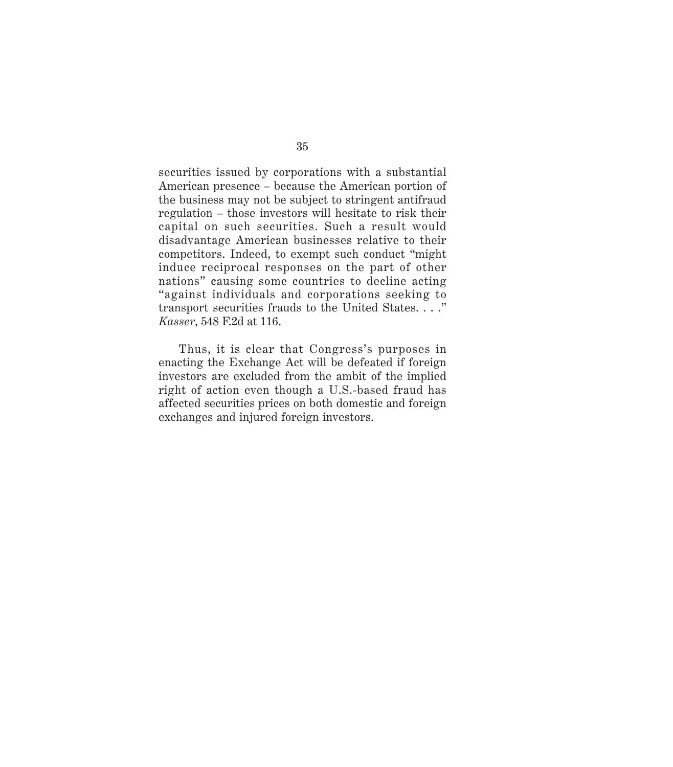securities issued by corporations with a substantial American presence – because the American portion of the business may not be subject to stringent antifraud regulation – those investors will hesitate to risk their capital on such securities. Such a result would disadvantage American businesses relative to their competitors. Indeed, to exempt such conduct "might induce reciprocal responses on the part of other nations" causing some countries to decline acting "against individuals and corporations seeking to transport securities frauds to the United States. . . ." *Kasser*, 548 F.2d at 116.

Thus, it is clear that Congress's purposes in enacting the Exchange Act will be defeated if foreign investors are excluded from the ambit of the implied right of action even though a U.S.-based fraud has affected securities prices on both domestic and foreign exchanges and injured foreign investors.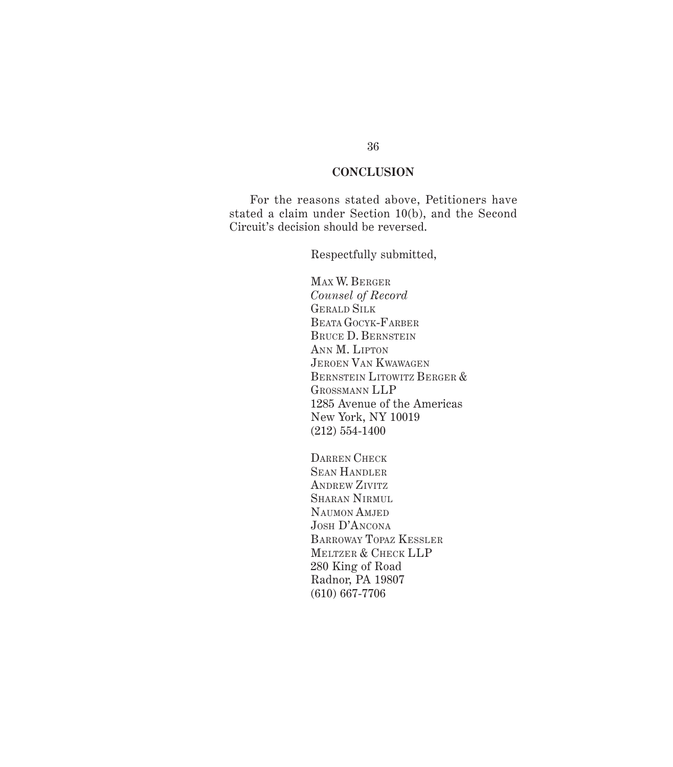### **CONCLUSION**

For the reasons stated above, Petitioners have stated a claim under Section 10(b), and the Second Circuit's decision should be reversed.

Respectfully submitted,

MAX W. BERGER *Counsel of Record* GERALD SILK BEATA GOCYK-FARBER BRUCE D. BERNSTEIN ANN M. LIPTON JEROEN VAN KWAWAGEN BERNSTEIN LITOWITZ BERGER & GROSSMANN LLP 1285 Avenue of the Americas New York, NY 10019 (212) 554-1400

DARREN CHECK SEAN HANDLER ANDREW ZIVITZ SHARAN NIRMUL NAUMON AMJED JOSH D'ANCONA BARROWAY TOPAZ KESSLER MELTZER & CHECK LLP 280 King of Road Radnor, PA 19807 (610) 667-7706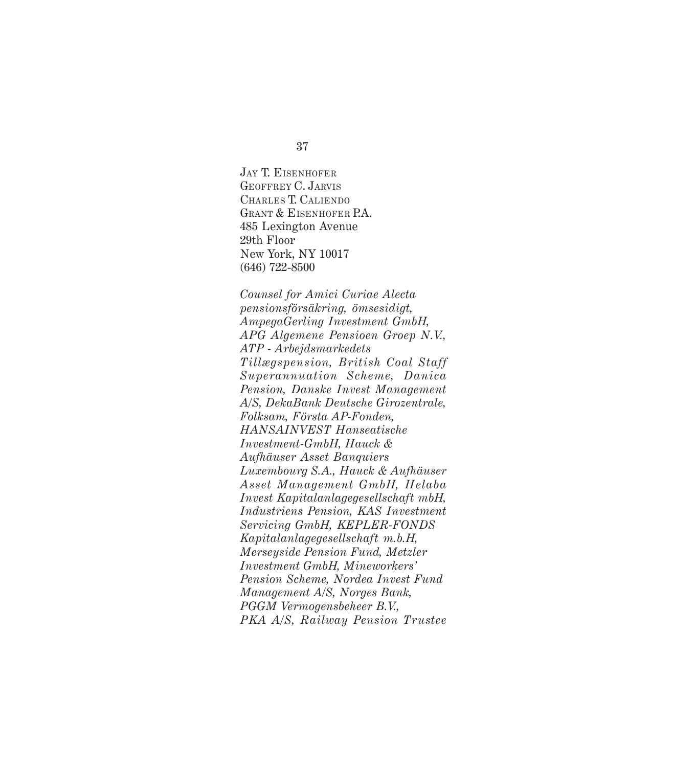JAY T. EISENHOFER GEOFFREY C. JARVIS CHARLES T. CALIENDO GRANT & EISENHOFER P.A. 485 Lexington Avenue 29th Floor New York, NY 10017 (646) 722-8500

*Counsel for Amici Curiae Alecta pensionsförsäkring, ömsesidigt, AmpegaGerling Investment GmbH, APG Algemene Pensioen Groep N.V., ATP - Arbejdsmarkedets Tillægspension, British Coal Staff Superannuation Scheme, Danica Pension, Danske Invest Management A/S, DekaBank Deutsche Girozentrale, Folksam, Första AP-Fonden, HANSAINVEST Hanseatische Investment-GmbH, Hauck & Aufhäuser Asset Banquiers Luxembourg S.A., Hauck & Aufhäuser Asset Management GmbH, Helaba Invest Kapitalanlagegesellschaft mbH, Industriens Pension, KAS Investment Servicing GmbH, KEPLER-FONDS Kapitalanlagegesellschaft m.b.H, Merseyside Pension Fund, Metzler Investment GmbH, Mineworkers' Pension Scheme, Nordea Invest Fund Management A/S, Norges Bank, PGGM Vermogensbeheer B.V., PKA A/S, Railway Pension Trustee*

37